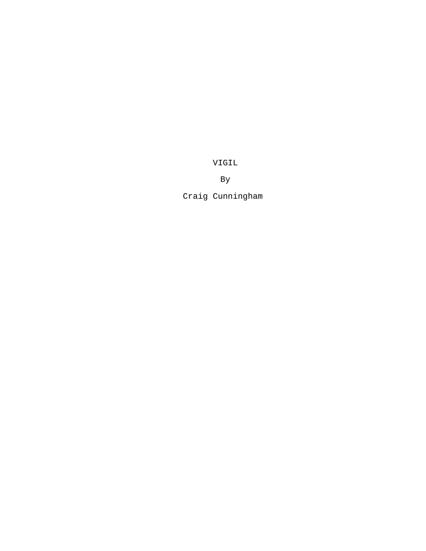VIGIL

By

Craig Cunningham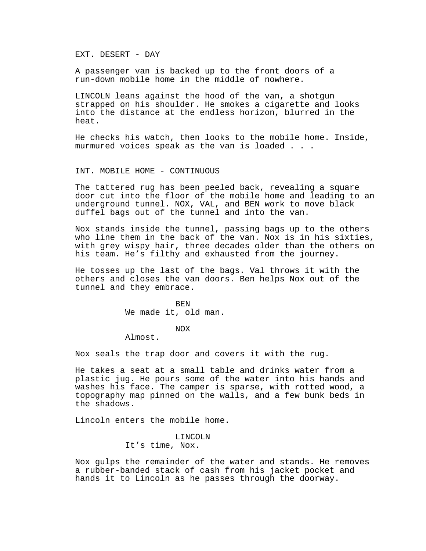EXT. DESERT - DAY

A passenger van is backed up to the front doors of a run-down mobile home in the middle of nowhere.

LINCOLN leans against the hood of the van, a shotgun strapped on his shoulder. He smokes a cigarette and looks into the distance at the endless horizon, blurred in the heat.

He checks his watch, then looks to the mobile home. Inside, murmured voices speak as the van is loaded . . .

#### INT. MOBILE HOME - CONTINUOUS

The tattered rug has been peeled back, revealing a square door cut into the floor of the mobile home and leading to an underground tunnel. NOX, VAL, and BEN work to move black duffel bags out of the tunnel and into the van.

Nox stands inside the tunnel, passing bags up to the others who line them in the back of the van. Nox is in his sixties, with grey wispy hair, three decades older than the others on his team. He's filthy and exhausted from the journey.

He tosses up the last of the bags. Val throws it with the others and closes the van doors. Ben helps Nox out of the tunnel and they embrace.

> **BEN** We made it, old man.

### NOX

Almost.

Nox seals the trap door and covers it with the rug.

He takes a seat at a small table and drinks water from a plastic jug. He pours some of the water into his hands and washes his face. The camper is sparse, with rotted wood, a topography map pinned on the walls, and a few bunk beds in the shadows.

Lincoln enters the mobile home.

LINCOLN It's time, Nox.

Nox gulps the remainder of the water and stands. He removes a rubber-banded stack of cash from his jacket pocket and hands it to Lincoln as he passes through the doorway.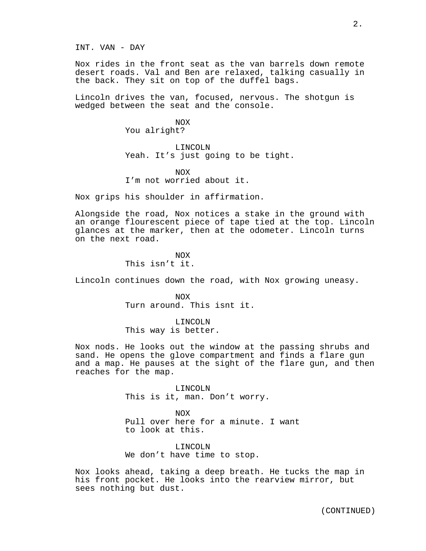INT. VAN - DAY

Nox rides in the front seat as the van barrels down remote desert roads. Val and Ben are relaxed, talking casually in the back. They sit on top of the duffel bags.

Lincoln drives the van, focused, nervous. The shotgun is wedged between the seat and the console.

> NOX You alright?

LINCOLN Yeah. It's just going to be tight.

NOX I'm not worried about it.

Nox grips his shoulder in affirmation.

Alongside the road, Nox notices a stake in the ground with an orange flourescent piece of tape tied at the top. Lincoln glances at the marker, then at the odometer. Lincoln turns on the next road.

> NOX This isn't it.

Lincoln continues down the road, with Nox growing uneasy.

NOX Turn around. This isnt it.

LINCOLN This way is better.

Nox nods. He looks out the window at the passing shrubs and sand. He opens the glove compartment and finds a flare gun and a map. He pauses at the sight of the flare gun, and then reaches for the map.

> LINCOLN This is it, man. Don't worry.

 $N<sub>O</sub>$ Pull over here for a minute. I want to look at this.

LINCOLN We don't have time to stop.

Nox looks ahead, taking a deep breath. He tucks the map in his front pocket. He looks into the rearview mirror, but sees nothing but dust.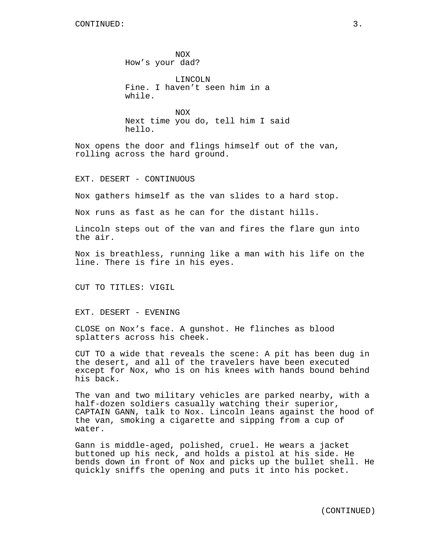NOX How's your dad?

LINCOLN Fine. I haven't seen him in a while.

NOX Next time you do, tell him I said hello.

Nox opens the door and flings himself out of the van, rolling across the hard ground.

EXT. DESERT - CONTINUOUS

Nox gathers himself as the van slides to a hard stop.

Nox runs as fast as he can for the distant hills.

Lincoln steps out of the van and fires the flare gun into the air.

Nox is breathless, running like a man with his life on the line. There is fire in his eyes.

CUT TO TITLES: VIGIL

EXT. DESERT - EVENING

CLOSE on Nox's face. A gunshot. He flinches as blood splatters across his cheek.

CUT TO a wide that reveals the scene: A pit has been dug in the desert, and all of the travelers have been executed except for Nox, who is on his knees with hands bound behind his back.

The van and two military vehicles are parked nearby, with a half-dozen soldiers casually watching their superior, CAPTAIN GANN, talk to Nox. Lincoln leans against the hood of the van, smoking a cigarette and sipping from a cup of water.

Gann is middle-aged, polished, cruel. He wears a jacket buttoned up his neck, and holds a pistol at his side. He bends down in front of Nox and picks up the bullet shell. He quickly sniffs the opening and puts it into his pocket.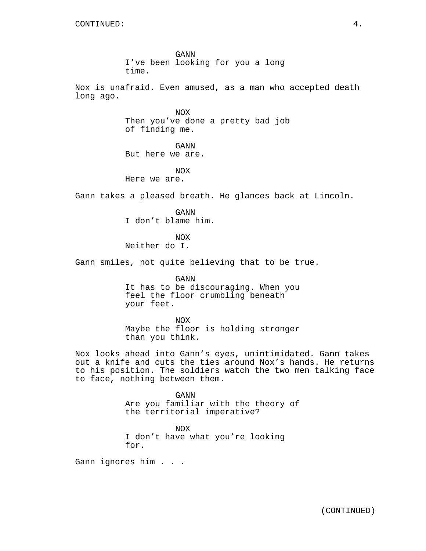GANN I've been looking for you a long time.

Nox is unafraid. Even amused, as a man who accepted death long ago.

> NOX Then you've done a pretty bad job of finding me.

GANN But here we are.

NOX Here we are.

Gann takes a pleased breath. He glances back at Lincoln.

GANN I don't blame him.

NOX

Neither do I.

Gann smiles, not quite believing that to be true.

GANN It has to be discouraging. When you feel the floor crumbling beneath your feet.

NOX Maybe the floor is holding stronger than you think.

Nox looks ahead into Gann's eyes, unintimidated. Gann takes out a knife and cuts the ties around Nox's hands. He returns to his position. The soldiers watch the two men talking face to face, nothing between them.

> GANN Are you familiar with the theory of the territorial imperative?

NOX I don't have what you're looking for.

Gann ignores him . . .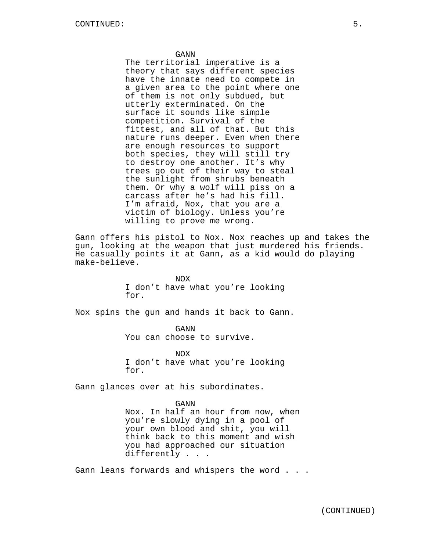#### GANN

The territorial imperative is a theory that says different species have the innate need to compete in a given area to the point where one of them is not only subdued, but utterly exterminated. On the surface it sounds like simple competition. Survival of the fittest, and all of that. But this nature runs deeper. Even when there are enough resources to support both species, they will still try to destroy one another. It's why trees go out of their way to steal the sunlight from shrubs beneath them. Or why a wolf will piss on a carcass after he's had his fill. I'm afraid, Nox, that you are a victim of biology. Unless you're willing to prove me wrong.

Gann offers his pistol to Nox. Nox reaches up and takes the gun, looking at the weapon that just murdered his friends. He casually points it at Gann, as a kid would do playing make-believe.

> NOX I don't have what you're looking for.

Nox spins the gun and hands it back to Gann.

GANN You can choose to survive.

NOX I don't have what you're looking for.

Gann glances over at his subordinates.

GANN Nox. In half an hour from now, when you're slowly dying in a pool of your own blood and shit, you will think back to this moment and wish you had approached our situation differently . . .

Gann leans forwards and whispers the word . . .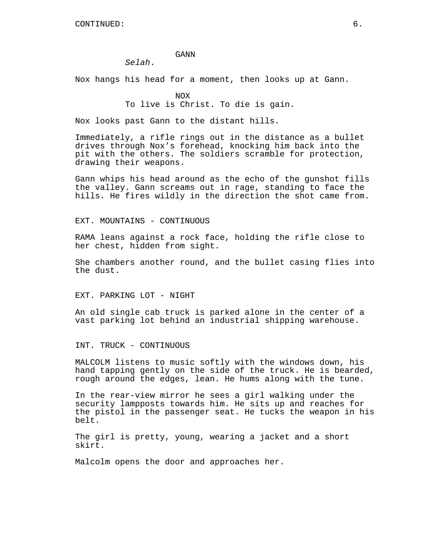#### GANN

*Selah*.

Nox hangs his head for a moment, then looks up at Gann.

NOX To live is Christ. To die is gain.

Nox looks past Gann to the distant hills.

Immediately, a rifle rings out in the distance as a bullet drives through Nox's forehead, knocking him back into the pit with the others. The soldiers scramble for protection, drawing their weapons.

Gann whips his head around as the echo of the gunshot fills the valley. Gann screams out in rage, standing to face the hills. He fires wildly in the direction the shot came from.

EXT. MOUNTAINS - CONTINUOUS

RAMA leans against a rock face, holding the rifle close to her chest, hidden from sight.

She chambers another round, and the bullet casing flies into the dust.

EXT. PARKING LOT - NIGHT

An old single cab truck is parked alone in the center of a vast parking lot behind an industrial shipping warehouse.

INT. TRUCK - CONTINUOUS

MALCOLM listens to music softly with the windows down, his hand tapping gently on the side of the truck. He is bearded, rough around the edges, lean. He hums along with the tune.

In the rear-view mirror he sees a girl walking under the security lampposts towards him. He sits up and reaches for the pistol in the passenger seat. He tucks the weapon in his belt.

The girl is pretty, young, wearing a jacket and a short skirt.

Malcolm opens the door and approaches her.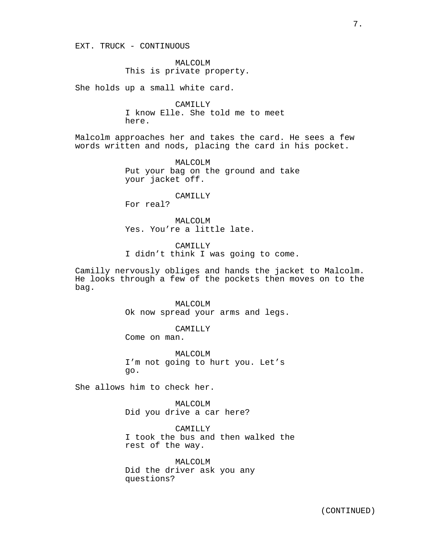EXT. TRUCK - CONTINUOUS

MALCOLM This is private property.

She holds up a small white card.

CAMILLY I know Elle. She told me to meet here.

Malcolm approaches her and takes the card. He sees a few words written and nods, placing the card in his pocket.

> MALCOLM Put your bag on the ground and take your jacket off.

> > CAMILLY

For real?

MALCOLM Yes. You're a little late.

CAMILLY I didn't think I was going to come.

Camilly nervously obliges and hands the jacket to Malcolm. He looks through a few of the pockets then moves on to the bag.

> MALCOLM Ok now spread your arms and legs.

> > CAMILLY

Come on man.

MALCOLM I'm not going to hurt you. Let's go.

She allows him to check her.

MALCOLM Did you drive a car here?

CAMILLY I took the bus and then walked the rest of the way.

MALCOLM Did the driver ask you any questions?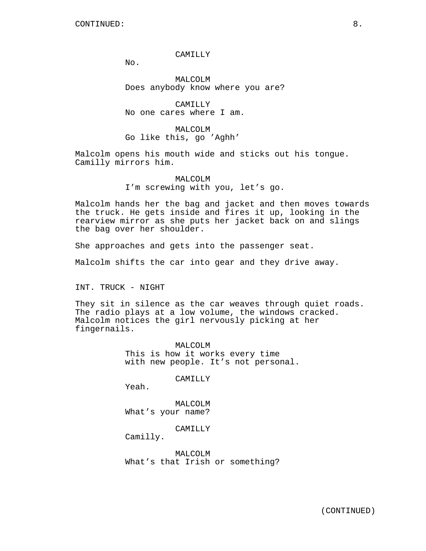### CAMILLY

 $No.$ 

MALCOLM Does anybody know where you are?

CAMILLY No one cares where I am.

MALCOLM Go like this, go 'Aghh'

Malcolm opens his mouth wide and sticks out his tongue. Camilly mirrors him.

> MALCOLM I'm screwing with you, let's go.

Malcolm hands her the bag and jacket and then moves towards the truck. He gets inside and fires it up, looking in the rearview mirror as she puts her jacket back on and slings the bag over her shoulder.

She approaches and gets into the passenger seat.

Malcolm shifts the car into gear and they drive away.

INT. TRUCK - NIGHT

They sit in silence as the car weaves through quiet roads. The radio plays at a low volume, the windows cracked. Malcolm notices the girl nervously picking at her fingernails.

> MALCOLM This is how it works every time with new people. It's not personal.

> > CAMILLY

Yeah.

MALCOLM What's your name?

CAMILLY

Camilly.

MALCOLM What's that Irish or something?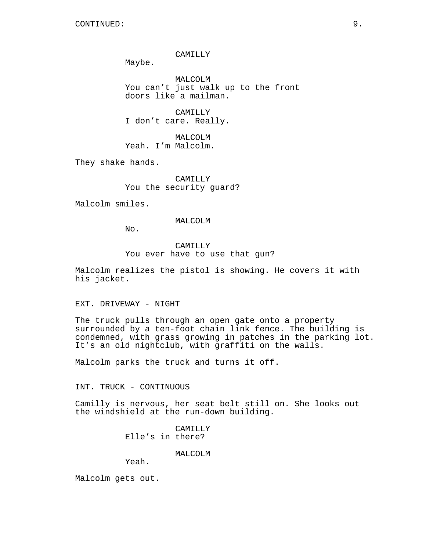#### CAMILLY

Maybe.

MALCOLM You can't just walk up to the front doors like a mailman.

CAMILLY I don't care. Really.

MALCOLM Yeah. I'm Malcolm.

They shake hands.

CAMILLY You the security guard?

Malcolm smiles.

#### MALCOLM

No.

CAMILLY You ever have to use that gun?

Malcolm realizes the pistol is showing. He covers it with his jacket.

EXT. DRIVEWAY - NIGHT

The truck pulls through an open gate onto a property surrounded by a ten-foot chain link fence. The building is condemned, with grass growing in patches in the parking lot. It's an old nightclub, with graffiti on the walls.

Malcolm parks the truck and turns it off.

INT. TRUCK - CONTINUOUS

Camilly is nervous, her seat belt still on. She looks out the windshield at the run-down building.

> CAMILLY Elle's in there?

> > MALCOLM

Yeah.

Malcolm gets out.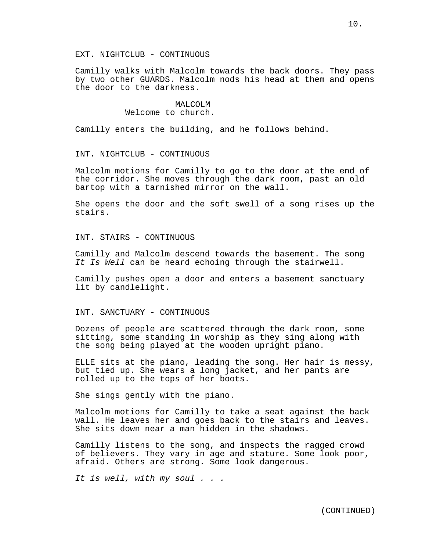EXT. NIGHTCLUB - CONTINUOUS

Camilly walks with Malcolm towards the back doors. They pass by two other GUARDS. Malcolm nods his head at them and opens the door to the darkness.

### MALCOLM Welcome to church.

Camilly enters the building, and he follows behind.

INT. NIGHTCLUB - CONTINUOUS

Malcolm motions for Camilly to go to the door at the end of the corridor. She moves through the dark room, past an old bartop with a tarnished mirror on the wall.

She opens the door and the soft swell of a song rises up the stairs.

INT. STAIRS - CONTINUOUS

Camilly and Malcolm descend towards the basement. The song *It Is Well* can be heard echoing through the stairwell.

Camilly pushes open a door and enters a basement sanctuary lit by candlelight.

INT. SANCTUARY - CONTINUOUS

Dozens of people are scattered through the dark room, some sitting, some standing in worship as they sing along with the song being played at the wooden upright piano.

ELLE sits at the piano, leading the song. Her hair is messy, but tied up. She wears a long jacket, and her pants are rolled up to the tops of her boots.

She sings gently with the piano.

Malcolm motions for Camilly to take a seat against the back wall. He leaves her and goes back to the stairs and leaves. She sits down near a man hidden in the shadows.

Camilly listens to the song, and inspects the ragged crowd of believers. They vary in age and stature. Some look poor, afraid. Others are strong. Some look dangerous.

*It is well, with my soul . . .*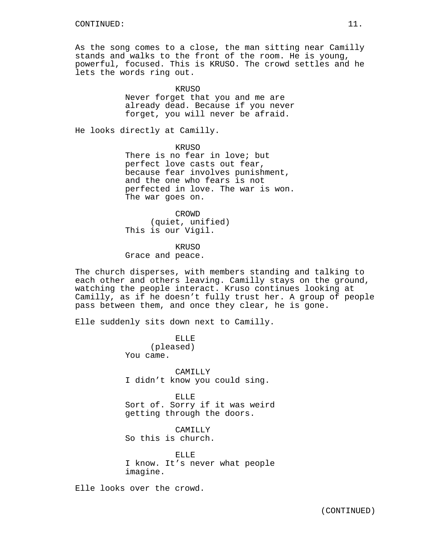As the song comes to a close, the man sitting near Camilly stands and walks to the front of the room. He is young, powerful, focused. This is KRUSO. The crowd settles and he lets the words ring out.

KRUSO

Never forget that you and me are already dead. Because if you never forget, you will never be afraid.

He looks directly at Camilly.

KRIJSO

There is no fear in love; but perfect love casts out fear, because fear involves punishment, and the one who fears is not perfected in love. The war is won. The war goes on.

CROWD (quiet, unified) This is our Vigil.

KRUSO

Grace and peace.

The church disperses, with members standing and talking to each other and others leaving. Camilly stays on the ground, watching the people interact. Kruso continues looking at Camilly, as if he doesn't fully trust her. A group of people pass between them, and once they clear, he is gone.

Elle suddenly sits down next to Camilly.

ELLE (pleased) You came.

CAMILLY I didn't know you could sing.

ELLE Sort of. Sorry if it was weird getting through the doors.

CAMILLY So this is church.

ELLE I know. It's never what people imagine.

Elle looks over the crowd.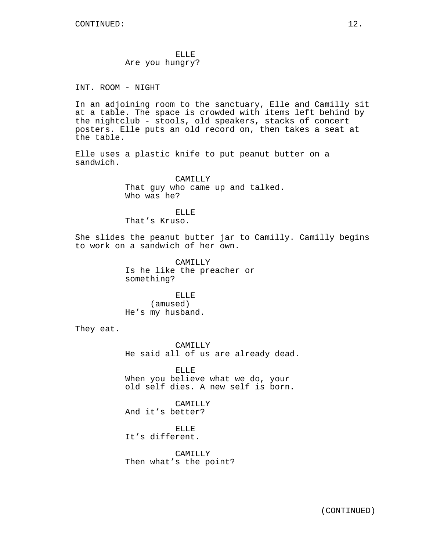ELLE Are you hungry?

INT. ROOM - NIGHT

In an adjoining room to the sanctuary, Elle and Camilly sit at a table. The space is crowded with items left behind by the nightclub - stools, old speakers, stacks of concert posters. Elle puts an old record on, then takes a seat at the table.

Elle uses a plastic knife to put peanut butter on a sandwich.

> CAMILLY That guy who came up and talked. Who was he?

ELLE That's Kruso.

She slides the peanut butter jar to Camilly. Camilly begins to work on a sandwich of her own.

> CAMILLY Is he like the preacher or something?

ELLE (amused) He's my husband.

They eat.

CAMILLY He said all of us are already dead.

ELLE When you believe what we do, your old self dies. A new self is born.

CAMILLY And it's better?

ELLE It's different.

CAMILLY Then what's the point?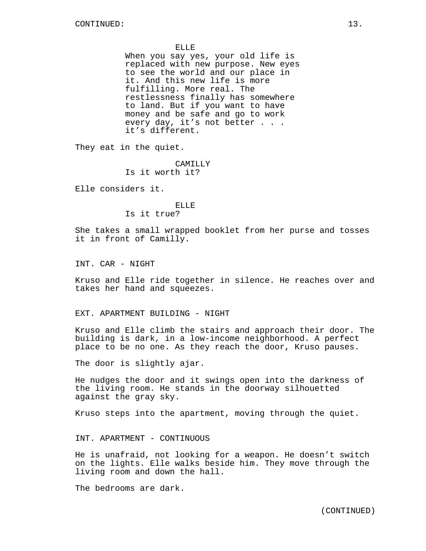#### ELLE

When you say yes, your old life is replaced with new purpose. New eyes to see the world and our place in it. And this new life is more fulfilling. More real. The restlessness finally has somewhere to land. But if you want to have money and be safe and go to work every day, it's not better . . . it's different.

They eat in the quiet.

CAMILLY Is it worth it?

Elle considers it.

ELLE Is it true?

She takes a small wrapped booklet from her purse and tosses it in front of Camilly.

INT. CAR - NIGHT

Kruso and Elle ride together in silence. He reaches over and takes her hand and squeezes.

### EXT. APARTMENT BUILDING - NIGHT

Kruso and Elle climb the stairs and approach their door. The building is dark, in a low-income neighborhood. A perfect place to be no one. As they reach the door, Kruso pauses.

The door is slightly ajar.

He nudges the door and it swings open into the darkness of the living room. He stands in the doorway silhouetted against the gray sky.

Kruso steps into the apartment, moving through the quiet.

INT. APARTMENT - CONTINUOUS

He is unafraid, not looking for a weapon. He doesn't switch on the lights. Elle walks beside him. They move through the living room and down the hall.

The bedrooms are dark.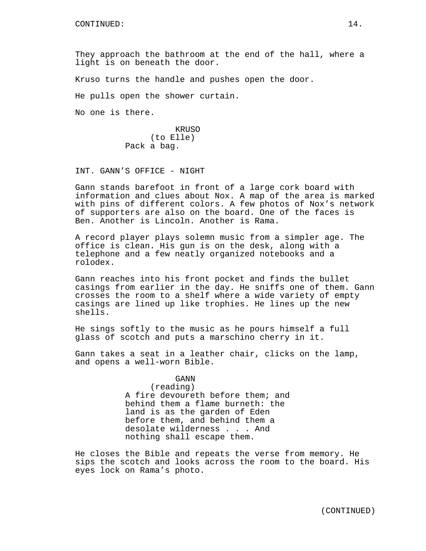They approach the bathroom at the end of the hall, where a light is on beneath the door.

Kruso turns the handle and pushes open the door.

He pulls open the shower curtain.

No one is there.

KRUSO (to Elle) Pack a bag.

INT. GANN'S OFFICE - NIGHT

Gann stands barefoot in front of a large cork board with information and clues about Nox. A map of the area is marked with pins of different colors. A few photos of Nox's network of supporters are also on the board. One of the faces is Ben. Another is Lincoln. Another is Rama.

A record player plays solemn music from a simpler age. The office is clean. His gun is on the desk, along with a telephone and a few neatly organized notebooks and a rolodex.

Gann reaches into his front pocket and finds the bullet casings from earlier in the day. He sniffs one of them. Gann crosses the room to a shelf where a wide variety of empty casings are lined up like trophies. He lines up the new shells.

He sings softly to the music as he pours himself a full glass of scotch and puts a marschino cherry in it.

Gann takes a seat in a leather chair, clicks on the lamp, and opens a well-worn Bible.

## GANN

(reading)

A fire devoureth before them; and behind them a flame burneth: the land is as the garden of Eden before them, and behind them a desolate wilderness . . . And nothing shall escape them.

He closes the Bible and repeats the verse from memory. He sips the scotch and looks across the room to the board. His eyes lock on Rama's photo.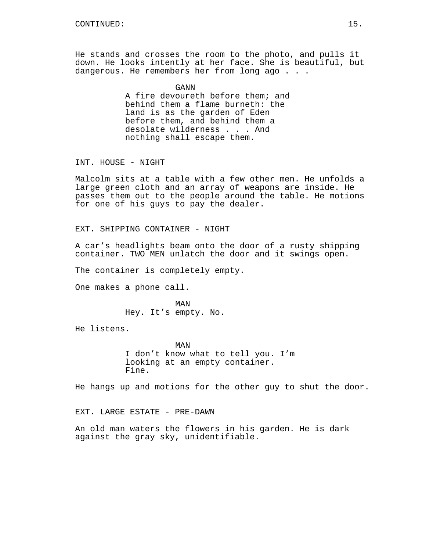He stands and crosses the room to the photo, and pulls it down. He looks intently at her face. She is beautiful, but dangerous. He remembers her from long ago . . .

> GANN A fire devoureth before them; and behind them a flame burneth: the land is as the garden of Eden before them, and behind them a desolate wilderness . . . And nothing shall escape them.

INT. HOUSE - NIGHT

Malcolm sits at a table with a few other men. He unfolds a large green cloth and an array of weapons are inside. He passes them out to the people around the table. He motions for one of his guys to pay the dealer.

EXT. SHIPPING CONTAINER - NIGHT

A car's headlights beam onto the door of a rusty shipping container. TWO MEN unlatch the door and it swings open.

The container is completely empty.

One makes a phone call.

MAN Hey. It's empty. No.

He listens.

MAN I don't know what to tell you. I'm looking at an empty container. Fine.

He hangs up and motions for the other guy to shut the door.

EXT. LARGE ESTATE - PRE-DAWN

An old man waters the flowers in his garden. He is dark against the gray sky, unidentifiable.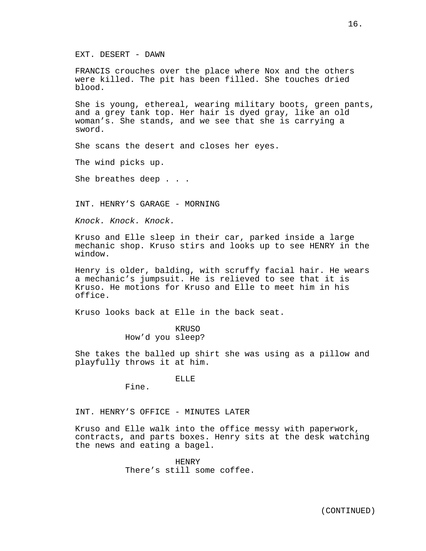EXT. DESERT - DAWN

FRANCIS crouches over the place where Nox and the others were killed. The pit has been filled. She touches dried blood.

She is young, ethereal, wearing military boots, green pants, and a grey tank top. Her hair is dyed gray, like an old woman's. She stands, and we see that she is carrying a sword.

She scans the desert and closes her eyes.

The wind picks up.

She breathes deep . . .

INT. HENRY'S GARAGE - MORNING

*Knock. Knock. Knock.*

Kruso and Elle sleep in their car, parked inside a large mechanic shop. Kruso stirs and looks up to see HENRY in the window.

Henry is older, balding, with scruffy facial hair. He wears a mechanic's jumpsuit. He is relieved to see that it is Kruso. He motions for Kruso and Elle to meet him in his office.

Kruso looks back at Elle in the back seat.

KRUSO How'd you sleep?

She takes the balled up shirt she was using as a pillow and playfully throws it at him.

ELLE

Fine.

INT. HENRY'S OFFICE - MINUTES LATER

Kruso and Elle walk into the office messy with paperwork, contracts, and parts boxes. Henry sits at the desk watching the news and eating a bagel.

> HENRY There's still some coffee.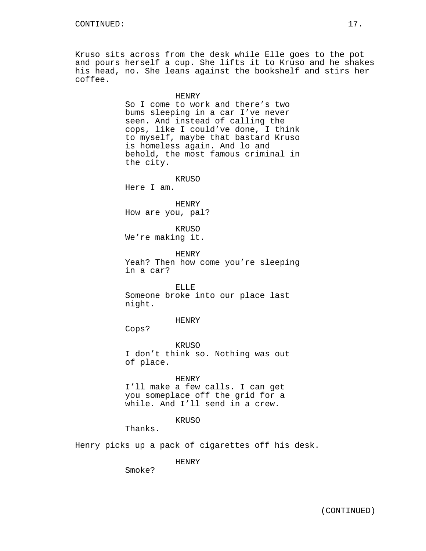Kruso sits across from the desk while Elle goes to the pot and pours herself a cup. She lifts it to Kruso and he shakes his head, no. She leans against the bookshelf and stirs her coffee.

### HENRY

So I come to work and there's two bums sleeping in a car I've never seen. And instead of calling the cops, like I could've done, I think to myself, maybe that bastard Kruso is homeless again. And lo and behold, the most famous criminal in the city.

KRUSO

Here I am.

HENRY How are you, pal?

KRUSO We're making it.

HENRY Yeah? Then how come you're sleeping in a car?

ELLE Someone broke into our place last night.

HENRY

Cops?

KRUSO I don't think so. Nothing was out of place.

### HENRY

I'll make a few calls. I can get you someplace off the grid for a while. And I'll send in a crew.

### KRUSO

Thanks.

Henry picks up a pack of cigarettes off his desk.

HENRY

Smoke?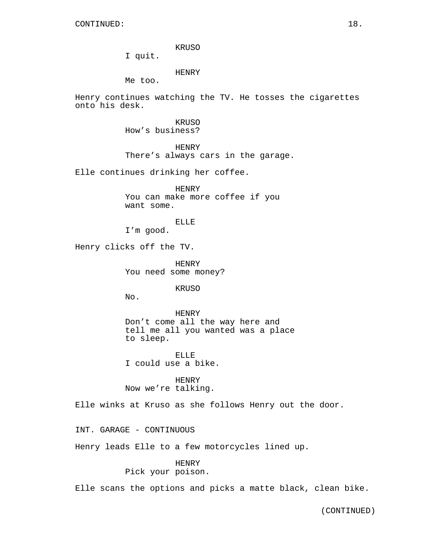KRUSO

I quit.

HENRY

Me too.

Henry continues watching the TV. He tosses the cigarettes onto his desk.

> KRUSO How's business?

HENRY There's always cars in the garage.

Elle continues drinking her coffee.

HENRY You can make more coffee if you want some.

ELLE

I'm good.

Henry clicks off the TV.

HENRY You need some money?

**KRUSO** 

No.

HENRY Don't come all the way here and tell me all you wanted was a place to sleep.

ELLE I could use a bike.

HENRY Now we're talking.

Elle winks at Kruso as she follows Henry out the door.

INT. GARAGE - CONTINUOUS

Henry leads Elle to a few motorcycles lined up.

HENRY

Pick your poison.

Elle scans the options and picks a matte black, clean bike.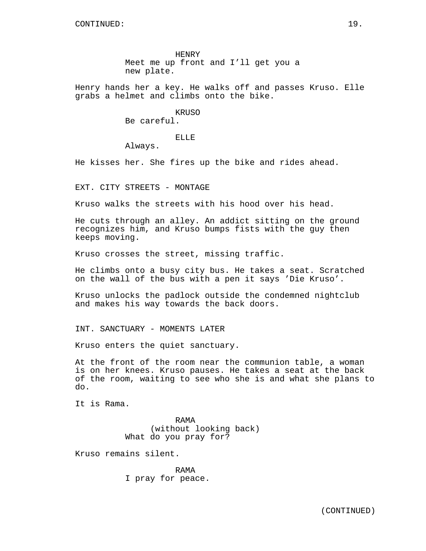HENRY Meet me up front and I'll get you a new plate.

Henry hands her a key. He walks off and passes Kruso. Elle grabs a helmet and climbs onto the bike.

**KRUSO** 

Be careful.

ELLE

Always.

He kisses her. She fires up the bike and rides ahead.

EXT. CITY STREETS - MONTAGE

Kruso walks the streets with his hood over his head.

He cuts through an alley. An addict sitting on the ground recognizes him, and Kruso bumps fists with the guy then keeps moving.

Kruso crosses the street, missing traffic.

He climbs onto a busy city bus. He takes a seat. Scratched on the wall of the bus with a pen it says 'Die Kruso'.

Kruso unlocks the padlock outside the condemned nightclub and makes his way towards the back doors.

INT. SANCTUARY - MOMENTS LATER

Kruso enters the quiet sanctuary.

At the front of the room near the communion table, a woman is on her knees. Kruso pauses. He takes a seat at the back of the room, waiting to see who she is and what she plans to do.

It is Rama.

RAMA (without looking back) What do you pray for?

Kruso remains silent.

RAMA I pray for peace.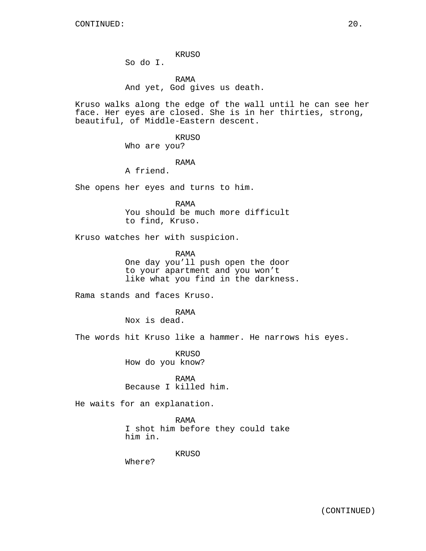KRUSO

So do I.

RAMA And yet, God gives us death.

Kruso walks along the edge of the wall until he can see her face. Her eyes are closed. She is in her thirties, strong, beautiful, of Middle-Eastern descent.

> KRUSO Who are you?

### RAMA

A friend.

She opens her eyes and turns to him.

RAMA You should be much more difficult to find, Kruso.

Kruso watches her with suspicion.

RAMA One day you'll push open the door to your apartment and you won't like what you find in the darkness.

Rama stands and faces Kruso.

RAMA

Nox is dead.

The words hit Kruso like a hammer. He narrows his eyes.

KRUSO How do you know?

RAMA Because I killed him.

He waits for an explanation.

RAMA I shot him before they could take him in.

KRUSO

Where?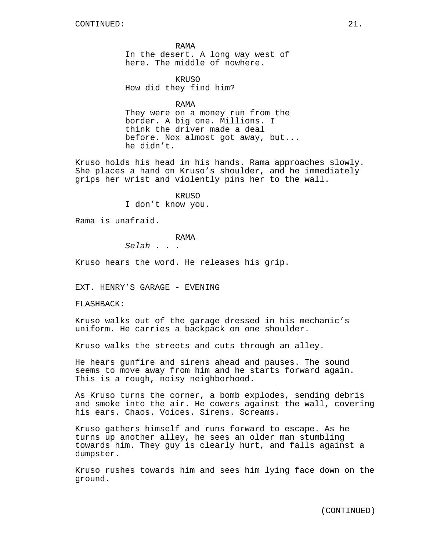RAMA In the desert. A long way west of here. The middle of nowhere.

**KRUSO** How did they find him?

RAMA

They were on a money run from the border. A big one. Millions. I think the driver made a deal before. Nox almost got away, but... he didn't.

Kruso holds his head in his hands. Rama approaches slowly. She places a hand on Kruso's shoulder, and he immediately grips her wrist and violently pins her to the wall.

> KRUSO I don't know you.

Rama is unafraid.

## RAMA

*Selah* . . .

Kruso hears the word. He releases his grip.

EXT. HENRY'S GARAGE - EVENING

FLASHBACK:

Kruso walks out of the garage dressed in his mechanic's uniform. He carries a backpack on one shoulder.

Kruso walks the streets and cuts through an alley.

He hears gunfire and sirens ahead and pauses. The sound seems to move away from him and he starts forward again. This is a rough, noisy neighborhood.

As Kruso turns the corner, a bomb explodes, sending debris and smoke into the air. He cowers against the wall, covering his ears. Chaos. Voices. Sirens. Screams.

Kruso gathers himself and runs forward to escape. As he turns up another alley, he sees an older man stumbling towards him. They guy is clearly hurt, and falls against a dumpster.

Kruso rushes towards him and sees him lying face down on the ground.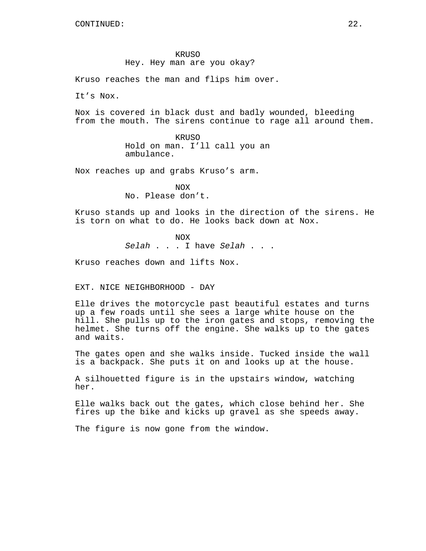#### KRUSO

### Hey. Hey man are you okay?

Kruso reaches the man and flips him over.

It's Nox.

Nox is covered in black dust and badly wounded, bleeding from the mouth. The sirens continue to rage all around them.

> KRUSO Hold on man. I'll call you an ambulance.

Nox reaches up and grabs Kruso's arm.

NOX No. Please don't.

Kruso stands up and looks in the direction of the sirens. He is torn on what to do. He looks back down at Nox.

> NOX *Selah* . . . I have *Selah* . . .

Kruso reaches down and lifts Nox.

EXT. NICE NEIGHBORHOOD - DAY

Elle drives the motorcycle past beautiful estates and turns up a few roads until she sees a large white house on the hill. She pulls up to the iron gates and stops, removing the helmet. She turns off the engine. She walks up to the gates and waits.

The gates open and she walks inside. Tucked inside the wall is a backpack. She puts it on and looks up at the house.

A silhouetted figure is in the upstairs window, watching her.

Elle walks back out the gates, which close behind her. She fires up the bike and kicks up gravel as she speeds away.

The figure is now gone from the window.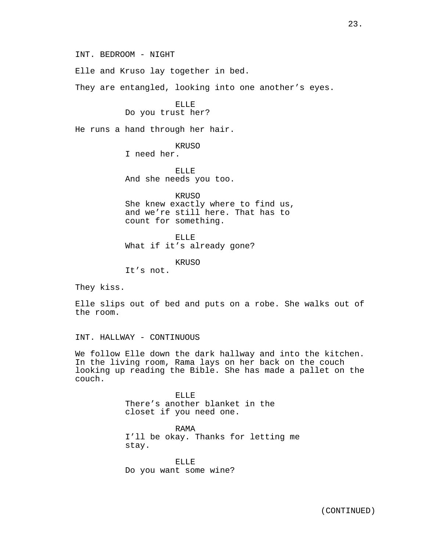INT. BEDROOM - NIGHT

Elle and Kruso lay together in bed.

They are entangled, looking into one another's eyes.

ELLE Do you trust her?

He runs a hand through her hair.

KRUSO

I need her.

ELLE And she needs you too.

KRUSO She knew exactly where to find us, and we're still here. That has to count for something.

ELLE What if it's already gone?

KRUSO

It's not.

They kiss.

Elle slips out of bed and puts on a robe. She walks out of the room.

INT. HALLWAY - CONTINUOUS

We follow Elle down the dark hallway and into the kitchen. In the living room, Rama lays on her back on the couch looking up reading the Bible. She has made a pallet on the couch.

> ELLE There's another blanket in the closet if you need one.

RAMA I'll be okay. Thanks for letting me stay.

ELLE Do you want some wine?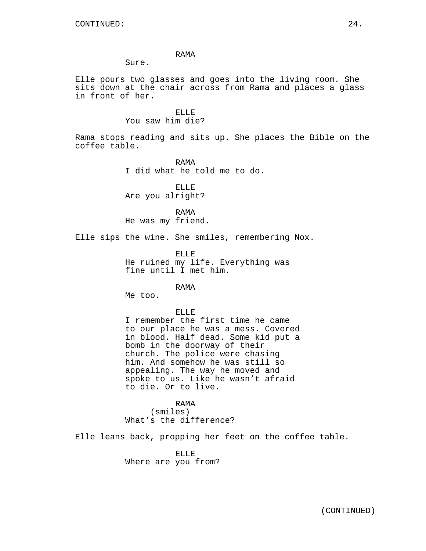### RAMA

Sure.

Elle pours two glasses and goes into the living room. She sits down at the chair across from Rama and places a glass in front of her.

## ELLE You saw him die?

Rama stops reading and sits up. She places the Bible on the coffee table.

> RAMA I did what he told me to do.

ELLE Are you alright?

RAMA He was my friend.

Elle sips the wine. She smiles, remembering Nox.

ELLE He ruined my life. Everything was fine until I met him.

RAMA

Me too.

ELLE

I remember the first time he came to our place he was a mess. Covered in blood. Half dead. Some kid put a bomb in the doorway of their church. The police were chasing him. And somehow he was still so appealing. The way he moved and spoke to us. Like he wasn't afraid to die. Or to live.

RAMA (smiles) What's the difference?

Elle leans back, propping her feet on the coffee table.

ELLE Where are you from?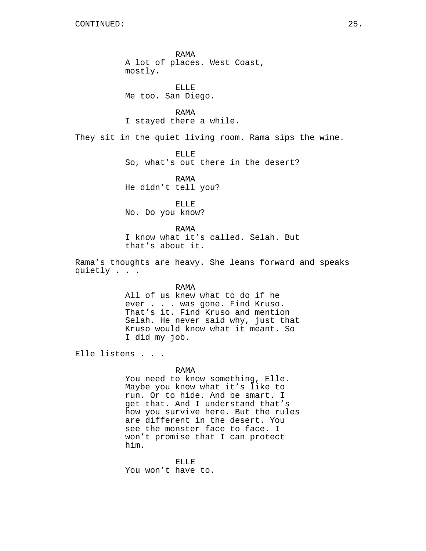RAMA A lot of places. West Coast, mostly.

ELLE Me too. San Diego.

RAMA I stayed there a while.

They sit in the quiet living room. Rama sips the wine.

ELLE

So, what's out there in the desert?

RAMA He didn't tell you?

ELLE

No. Do you know?

RAMA I know what it's called. Selah. But that's about it.

Rama's thoughts are heavy. She leans forward and speaks quietly . . .

> RAMA All of us knew what to do if he ever . . . was gone. Find Kruso. That's it. Find Kruso and mention Selah. He never said why, just that Kruso would know what it meant. So I did my job.

Elle listens . . .

### RAMA

You need to know something, Elle. Maybe you know what it's like to run. Or to hide. And be smart. I get that. And I understand that's how you survive here. But the rules are different in the desert. You see the monster face to face. I won't promise that I can protect him.

ELLE You won't have to.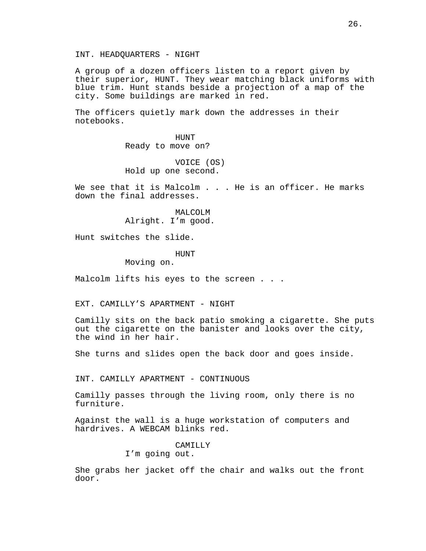INT. HEADQUARTERS - NIGHT

A group of a dozen officers listen to a report given by their superior, HUNT. They wear matching black uniforms with blue trim. Hunt stands beside a projection of a map of the city. Some buildings are marked in red.

The officers quietly mark down the addresses in their notebooks.

> HUNT Ready to move on?

VOICE (OS) Hold up one second.

We see that it is Malcolm . . . He is an officer. He marks down the final addresses.

> MALCOLM Alright. I'm good.

Hunt switches the slide.

### **HUNT**

Moving on.

Malcolm lifts his eyes to the screen . . .

EXT. CAMILLY'S APARTMENT - NIGHT

Camilly sits on the back patio smoking a cigarette. She puts out the cigarette on the banister and looks over the city, the wind in her hair.

She turns and slides open the back door and goes inside.

INT. CAMILLY APARTMENT - CONTINUOUS

Camilly passes through the living room, only there is no furniture.

Against the wall is a huge workstation of computers and hardrives. A WEBCAM blinks red.

CAMILLY

I'm going out.

She grabs her jacket off the chair and walks out the front door.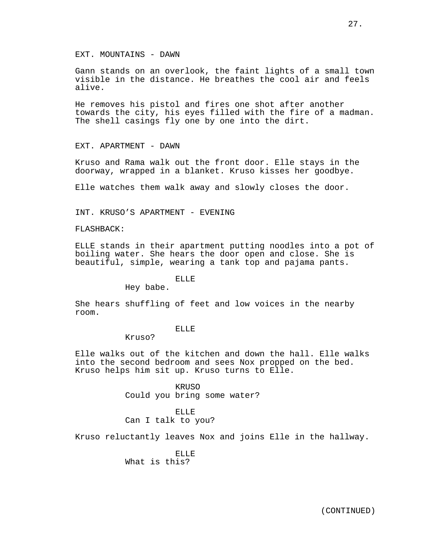Gann stands on an overlook, the faint lights of a small town visible in the distance. He breathes the cool air and feels alive.

He removes his pistol and fires one shot after another towards the city, his eyes filled with the fire of a madman. The shell casings fly one by one into the dirt.

EXT. APARTMENT - DAWN

Kruso and Rama walk out the front door. Elle stays in the doorway, wrapped in a blanket. Kruso kisses her goodbye.

Elle watches them walk away and slowly closes the door.

INT. KRUSO'S APARTMENT - EVENING

FLASHBACK:

ELLE stands in their apartment putting noodles into a pot of boiling water. She hears the door open and close. She is beautiful, simple, wearing a tank top and pajama pants.

## ELLE

Hey babe.

She hears shuffling of feet and low voices in the nearby room.

### ELLE

Kruso?

Elle walks out of the kitchen and down the hall. Elle walks into the second bedroom and sees Nox propped on the bed. Kruso helps him sit up. Kruso turns to Elle.

> KRUSO Could you bring some water?

ELLE Can I talk to you?

Kruso reluctantly leaves Nox and joins Elle in the hallway.

ELLE What is this?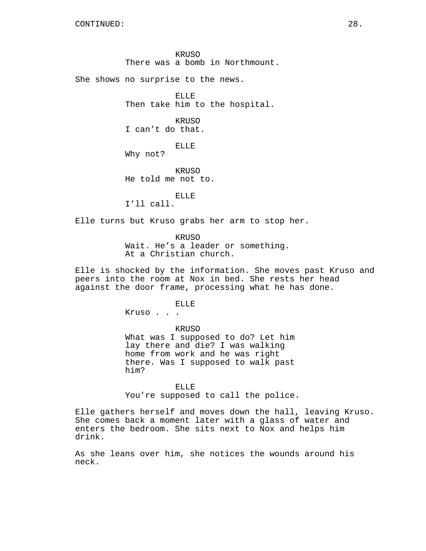KRUSO There was a bomb in Northmount.

She shows no surprise to the news.

ELLE Then take him to the hospital.

KRUSO I can't do that.

ELLE

Why not?

KRUSO He told me not to.

ELLE I'll call.

Elle turns but Kruso grabs her arm to stop her.

KRUSO Wait. He's a leader or something. At a Christian church.

Elle is shocked by the information. She moves past Kruso and peers into the room at Nox in bed. She rests her head against the door frame, processing what he has done.

ELLE

Kruso . . .

KRUSO What was I supposed to do? Let him lay there and die? I was walking home from work and he was right there. Was I supposed to walk past him?

ELLE You're supposed to call the police.

Elle gathers herself and moves down the hall, leaving Kruso. She comes back a moment later with a glass of water and enters the bedroom. She sits next to Nox and helps him drink.

As she leans over him, she notices the wounds around his neck.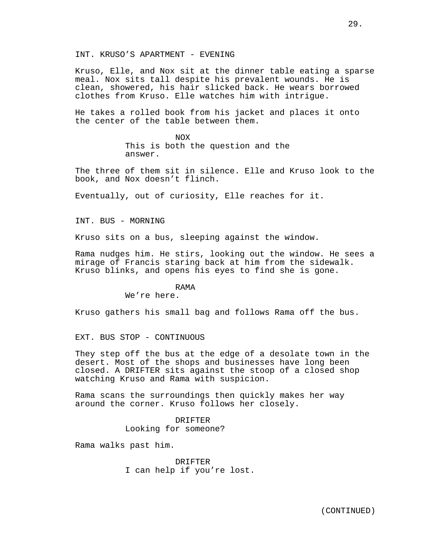Kruso, Elle, and Nox sit at the dinner table eating a sparse meal. Nox sits tall despite his prevalent wounds. He is clean, showered, his hair slicked back. He wears borrowed clothes from Kruso. Elle watches him with intrigue.

He takes a rolled book from his jacket and places it onto the center of the table between them.

> NOX This is both the question and the answer.

The three of them sit in silence. Elle and Kruso look to the book, and Nox doesn't flinch.

Eventually, out of curiosity, Elle reaches for it.

INT. BUS - MORNING

Kruso sits on a bus, sleeping against the window.

Rama nudges him. He stirs, looking out the window. He sees a mirage of Francis staring back at him from the sidewalk. Kruso blinks, and opens his eyes to find she is gone.

### RAMA

We're here.

Kruso gathers his small bag and follows Rama off the bus.

EXT. BUS STOP - CONTINUOUS

They step off the bus at the edge of a desolate town in the desert. Most of the shops and businesses have long been closed. A DRIFTER sits against the stoop of a closed shop watching Kruso and Rama with suspicion.

Rama scans the surroundings then quickly makes her way around the corner. Kruso follows her closely.

> DRIFTER Looking for someone?

Rama walks past him.

DRIFTER I can help if you're lost.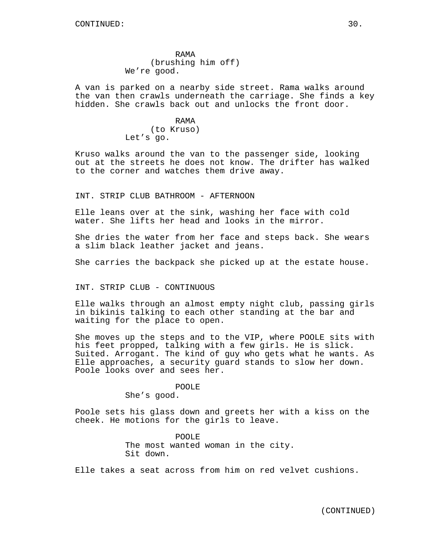RAMA (brushing him off) We're good.

A van is parked on a nearby side street. Rama walks around the van then crawls underneath the carriage. She finds a key hidden. She crawls back out and unlocks the front door.

> RAMA (to Kruso) Let's go.

Kruso walks around the van to the passenger side, looking out at the streets he does not know. The drifter has walked to the corner and watches them drive away.

INT. STRIP CLUB BATHROOM - AFTERNOON

Elle leans over at the sink, washing her face with cold water. She lifts her head and looks in the mirror.

She dries the water from her face and steps back. She wears a slim black leather jacket and jeans.

She carries the backpack she picked up at the estate house.

INT. STRIP CLUB - CONTINUOUS

Elle walks through an almost empty night club, passing girls in bikinis talking to each other standing at the bar and waiting for the place to open.

She moves up the steps and to the VIP, where POOLE sits with his feet propped, talking with a few girls. He is slick. Suited. Arrogant. The kind of guy who gets what he wants. As Elle approaches, a security guard stands to slow her down. Poole looks over and sees her.

POOLE

She's good.

Poole sets his glass down and greets her with a kiss on the cheek. He motions for the girls to leave.

> POOLE The most wanted woman in the city. Sit down.

Elle takes a seat across from him on red velvet cushions.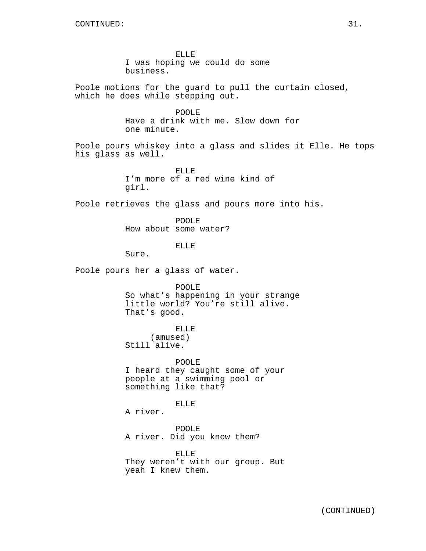ELLE I was hoping we could do some business.

Poole motions for the guard to pull the curtain closed, which he does while stepping out.

> POOLE Have a drink with me. Slow down for one minute.

Poole pours whiskey into a glass and slides it Elle. He tops his glass as well.

> ELLE I'm more of a red wine kind of girl.

Poole retrieves the glass and pours more into his.

POOLE How about some water?

ELLE

Sure.

Poole pours her a glass of water.

POOLE So what's happening in your strange little world? You're still alive. That's good.

ELLE

(amused) Still alive.

POOLE I heard they caught some of your people at a swimming pool or something like that?

ELLE

A river.

POOLE A river. Did you know them?

ELLE They weren't with our group. But yeah I knew them.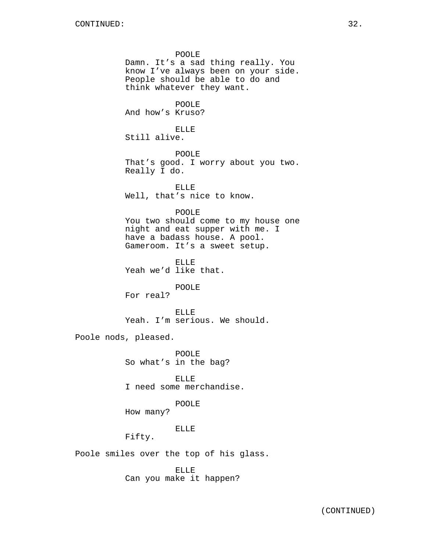POOLE Damn. It's a sad thing really. You know I've always been on your side. People should be able to do and think whatever they want. POOLE And how's Kruso? ELLE Still alive. POOLE That's good. I worry about you two. Really I do. ELLE Well, that's nice to know. POOLE You two should come to my house one night and eat supper with me. I have a badass house. A pool. Gameroom. It's a sweet setup. ELLE Yeah we'd like that. POOLE For real? ELLE Yeah. I'm serious. We should. Poole nods, pleased. POOLE So what's in the bag? ELLE I need some merchandise. POOLE How many? ELLE Fifty. Poole smiles over the top of his glass.

> ELLE Can you make it happen?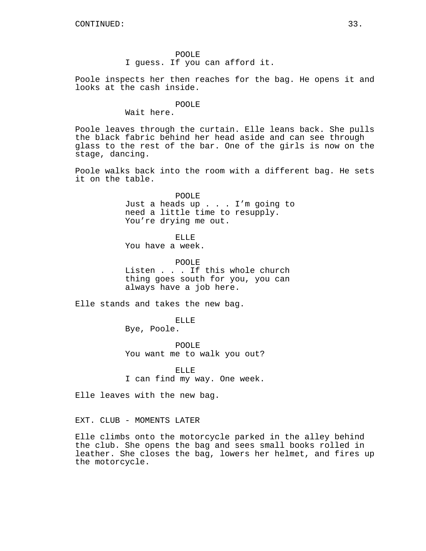Poole inspects her then reaches for the bag. He opens it and looks at the cash inside.

#### POOLE

Wait here.

Poole leaves through the curtain. Elle leans back. She pulls the black fabric behind her head aside and can see through glass to the rest of the bar. One of the girls is now on the stage, dancing.

Poole walks back into the room with a different bag. He sets it on the table.

> POOLE Just a heads up . . . I'm going to need a little time to resupply. You're drying me out.

ELLE

You have a week.

POOLE Listen . . . If this whole church thing goes south for you, you can always have a job here.

Elle stands and takes the new bag.

ELLE

Bye, Poole.

POOLE You want me to walk you out?

ELLE I can find my way. One week.

Elle leaves with the new bag.

EXT. CLUB - MOMENTS LATER

Elle climbs onto the motorcycle parked in the alley behind the club. She opens the bag and sees small books rolled in leather. She closes the bag, lowers her helmet, and fires up the motorcycle.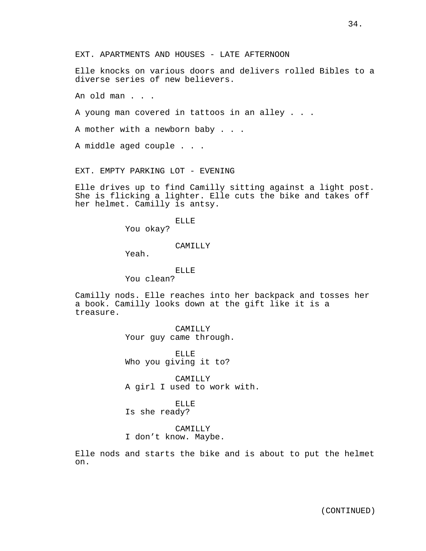Elle knocks on various doors and delivers rolled Bibles to a diverse series of new believers.

An old man . . .

A young man covered in tattoos in an alley . . .

A mother with a newborn baby . . .

A middle aged couple . . .

EXT. EMPTY PARKING LOT - EVENING

Elle drives up to find Camilly sitting against a light post. She is flicking a lighter. Elle cuts the bike and takes off her helmet. Camilly is antsy.

ELLE

You okay?

#### CAMILLY

Yeah.

### ELLE

You clean?

Camilly nods. Elle reaches into her backpack and tosses her a book. Camilly looks down at the gift like it is a treasure.

> CAMILLY Your guy came through.

ELLE Who you giving it to?

CAMILLY A girl I used to work with.

ELLE Is she ready?

CAMILLY I don't know. Maybe.

Elle nods and starts the bike and is about to put the helmet on.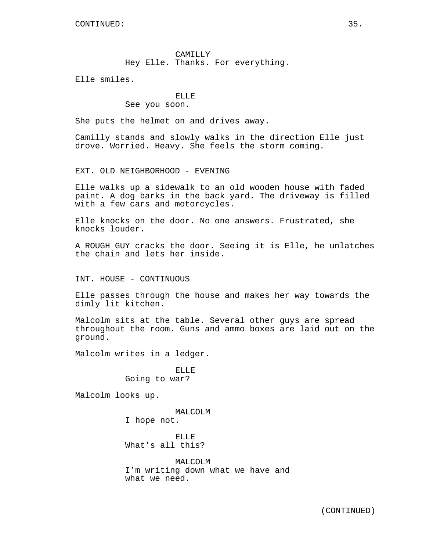CAMILLY Hey Elle. Thanks. For everything.

Elle smiles.

# ELLE

## See you soon.

She puts the helmet on and drives away.

Camilly stands and slowly walks in the direction Elle just drove. Worried. Heavy. She feels the storm coming.

EXT. OLD NEIGHBORHOOD - EVENING

Elle walks up a sidewalk to an old wooden house with faded paint. A dog barks in the back yard. The driveway is filled with a few cars and motorcycles.

Elle knocks on the door. No one answers. Frustrated, she knocks louder.

A ROUGH GUY cracks the door. Seeing it is Elle, he unlatches the chain and lets her inside.

INT. HOUSE - CONTINUOUS

Elle passes through the house and makes her way towards the dimly lit kitchen.

Malcolm sits at the table. Several other guys are spread throughout the room. Guns and ammo boxes are laid out on the ground.

Malcolm writes in a ledger.

ELLE Going to war?

Malcolm looks up.

MALCOLM I hope not.

ELLE What's all this?

MALCOLM I'm writing down what we have and what we need.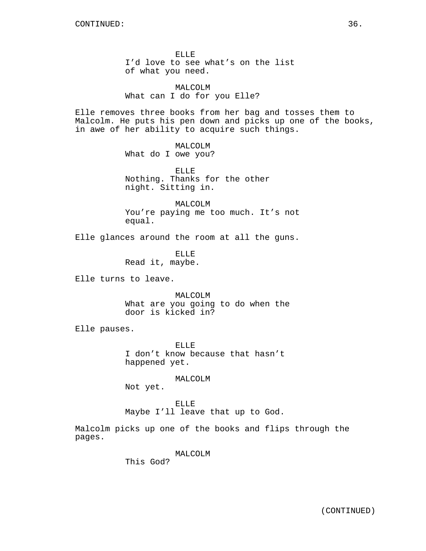ELLE I'd love to see what's on the list of what you need.

MALCOLM What can I do for you Elle?

Elle removes three books from her bag and tosses them to Malcolm. He puts his pen down and picks up one of the books, in awe of her ability to acquire such things.

> MALCOLM What do I owe you?

ELLE Nothing. Thanks for the other night. Sitting in.

MALCOLM You're paying me too much. It's not equal.

Elle glances around the room at all the guns.

ELLE Read it, maybe.

Elle turns to leave.

MALCOLM What are you going to do when the door is kicked in?

Elle pauses.

ELLE I don't know because that hasn't happened yet.

MALCOLM

Not yet.

ELLE Maybe I'll leave that up to God.

Malcolm picks up one of the books and flips through the pages.

MALCOLM

This God?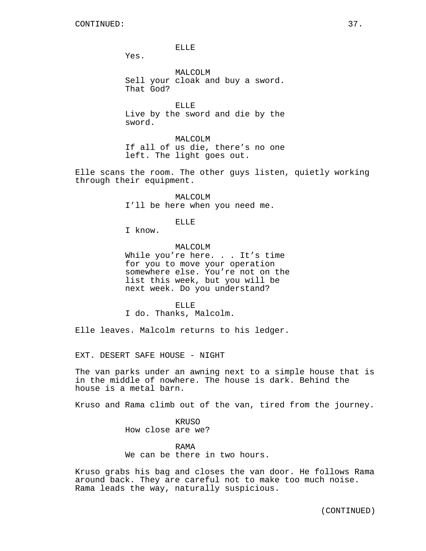ELLE

Yes.

MALCOLM Sell your cloak and buy a sword. That God?

ELLE Live by the sword and die by the sword.

MALCOLM If all of us die, there's no one left. The light goes out.

Elle scans the room. The other guys listen, quietly working through their equipment.

> MALCOLM I'll be here when you need me.

> > ELLE

I know.

MALCOLM While you're here. . . It's time for you to move your operation somewhere else. You're not on the list this week, but you will be next week. Do you understand?

ELLE I do. Thanks, Malcolm.

Elle leaves. Malcolm returns to his ledger.

EXT. DESERT SAFE HOUSE - NIGHT

The van parks under an awning next to a simple house that is in the middle of nowhere. The house is dark. Behind the house is a metal barn.

Kruso and Rama climb out of the van, tired from the journey.

KRUSO How close are we?

RAMA We can be there in two hours.

Kruso grabs his bag and closes the van door. He follows Rama around back. They are careful not to make too much noise. Rama leads the way, naturally suspicious.

(CONTINUED)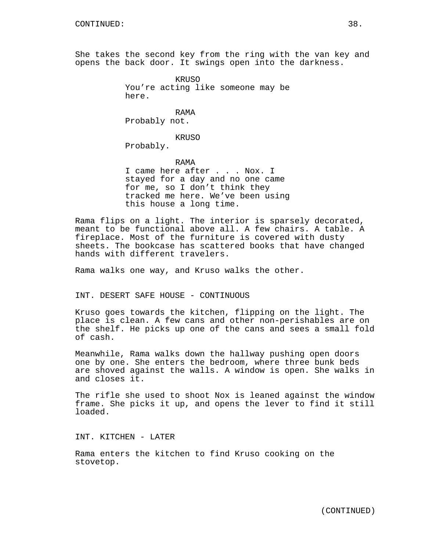She takes the second key from the ring with the van key and opens the back door. It swings open into the darkness.

> **KRUSO** You're acting like someone may be here.

RAMA Probably not.

KRUSO

Probably.

RAMA I came here after . . . Nox. I stayed for a day and no one came for me, so I don't think they tracked me here. We've been using this house a long time.

Rama flips on a light. The interior is sparsely decorated, meant to be functional above all. A few chairs. A table. A fireplace. Most of the furniture is covered with dusty sheets. The bookcase has scattered books that have changed hands with different travelers.

Rama walks one way, and Kruso walks the other.

INT. DESERT SAFE HOUSE - CONTINUOUS

Kruso goes towards the kitchen, flipping on the light. The place is clean. A few cans and other non-perishables are on the shelf. He picks up one of the cans and sees a small fold of cash.

Meanwhile, Rama walks down the hallway pushing open doors one by one. She enters the bedroom, where three bunk beds are shoved against the walls. A window is open. She walks in and closes it.

The rifle she used to shoot Nox is leaned against the window frame. She picks it up, and opens the lever to find it still loaded.

INT. KITCHEN - LATER

Rama enters the kitchen to find Kruso cooking on the stovetop.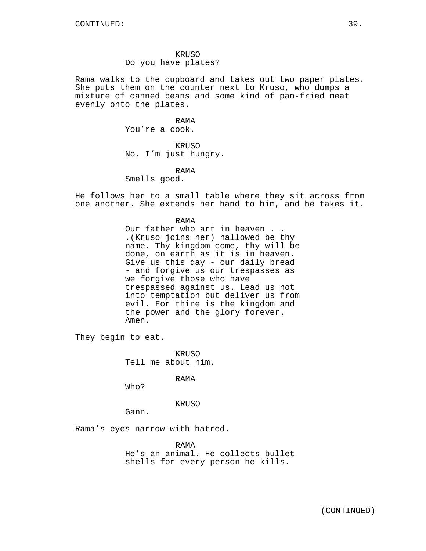Rama walks to the cupboard and takes out two paper plates. She puts them on the counter next to Kruso, who dumps a mixture of canned beans and some kind of pan-fried meat evenly onto the plates.

> RAMA You're a cook.

KRUSO No. I'm just hungry.

RAMA Smells good.

He follows her to a small table where they sit across from one another. She extends her hand to him, and he takes it.

> RAMA Our father who art in heaven . . .(Kruso joins her) hallowed be thy name. Thy kingdom come, thy will be done, on earth as it is in heaven. Give us this day - our daily bread - and forgive us our trespasses as we forgive those who have trespassed against us. Lead us not into temptation but deliver us from evil. For thine is the kingdom and the power and the glory forever. Amen.

They begin to eat.

KRUSO Tell me about him.

RAMA

Who?

KRUSO

Gann.

Rama's eyes narrow with hatred.

RAMA He's an animal. He collects bullet shells for every person he kills.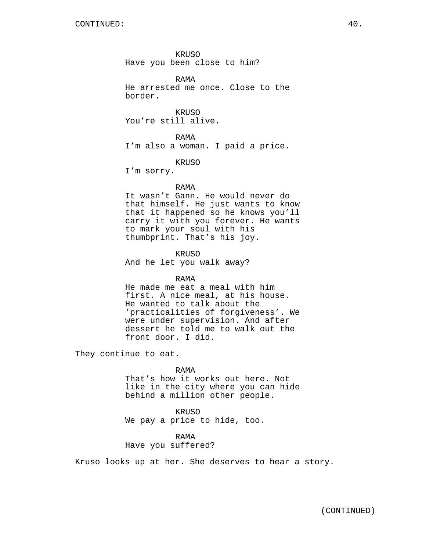KRUSO Have you been close to him?

RAMA He arrested me once. Close to the border.

**KRUSO** You're still alive.

RAMA I'm also a woman. I paid a price.

KRUSO

I'm sorry.

### RAMA

It wasn't Gann. He would never do that himself. He just wants to know that it happened so he knows you'll carry it with you forever. He wants to mark your soul with his thumbprint. That's his joy.

KRUSO And he let you walk away?

### RAMA

He made me eat a meal with him first. A nice meal, at his house. He wanted to talk about the 'practicalities of forgiveness'. We were under supervision. And after dessert he told me to walk out the front door. I did.

They continue to eat.

RAMA

That's how it works out here. Not like in the city where you can hide behind a million other people.

KRUSO We pay a price to hide, too.

RAMA Have you suffered?

Kruso looks up at her. She deserves to hear a story.

(CONTINUED)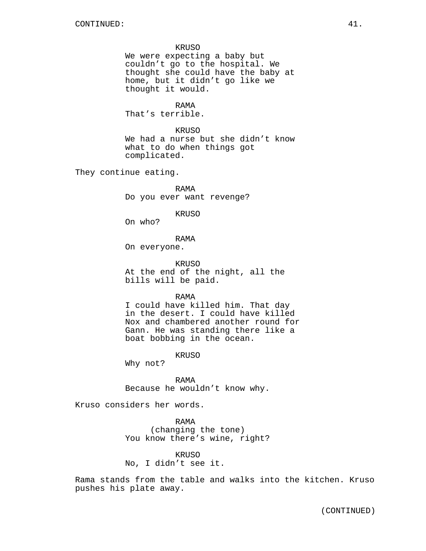#### KRUSO

We were expecting a baby but couldn't go to the hospital. We thought she could have the baby at home, but it didn't go like we thought it would.

RAMA

That's terrible.

KRUSO

We had a nurse but she didn't know what to do when things got complicated.

They continue eating.

RAMA Do you ever want revenge?

#### KRUSO

On who?

RAMA

On everyone.

KRUSO At the end of the night, all the bills will be paid.

RAMA

I could have killed him. That day in the desert. I could have killed Nox and chambered another round for Gann. He was standing there like a boat bobbing in the ocean.

KRUSO

Why not?

RAMA Because he wouldn't know why.

Kruso considers her words.

RAMA (changing the tone) You know there's wine, right?

KRUSO No, I didn't see it.

Rama stands from the table and walks into the kitchen. Kruso pushes his plate away.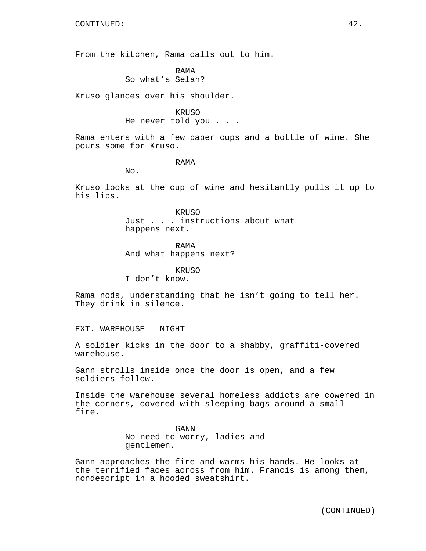From the kitchen, Rama calls out to him.

RAMA So what's Selah?

Kruso glances over his shoulder.

### KRUSO

He never told you . . .

Rama enters with a few paper cups and a bottle of wine. She pours some for Kruso.

### RAMA

No.

Kruso looks at the cup of wine and hesitantly pulls it up to his lips.

> KRUSO Just . . . instructions about what happens next.

RAMA And what happens next?

KRUSO

I don't know.

Rama nods, understanding that he isn't going to tell her. They drink in silence.

EXT. WAREHOUSE - NIGHT

A soldier kicks in the door to a shabby, graffiti-covered warehouse.

Gann strolls inside once the door is open, and a few soldiers follow.

Inside the warehouse several homeless addicts are cowered in the corners, covered with sleeping bags around a small fire.

> GANN No need to worry, ladies and gentlemen.

Gann approaches the fire and warms his hands. He looks at the terrified faces across from him. Francis is among them, nondescript in a hooded sweatshirt.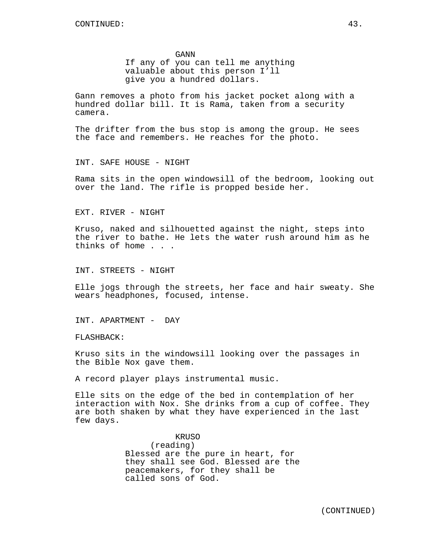GANN

If any of you can tell me anything valuable about this person I'll give you a hundred dollars.

Gann removes a photo from his jacket pocket along with a hundred dollar bill. It is Rama, taken from a security camera.

The drifter from the bus stop is among the group. He sees the face and remembers. He reaches for the photo.

INT. SAFE HOUSE - NIGHT

Rama sits in the open windowsill of the bedroom, looking out over the land. The rifle is propped beside her.

EXT. RIVER - NIGHT

Kruso, naked and silhouetted against the night, steps into the river to bathe. He lets the water rush around him as he thinks of home . . .

INT. STREETS - NIGHT

Elle jogs through the streets, her face and hair sweaty. She wears headphones, focused, intense.

INT. APARTMENT - DAY

FLASHBACK:

Kruso sits in the windowsill looking over the passages in the Bible Nox gave them.

A record player plays instrumental music.

Elle sits on the edge of the bed in contemplation of her interaction with Nox. She drinks from a cup of coffee. They are both shaken by what they have experienced in the last few days.

> KRUSO (reading) Blessed are the pure in heart, for they shall see God. Blessed are the peacemakers, for they shall be called sons of God.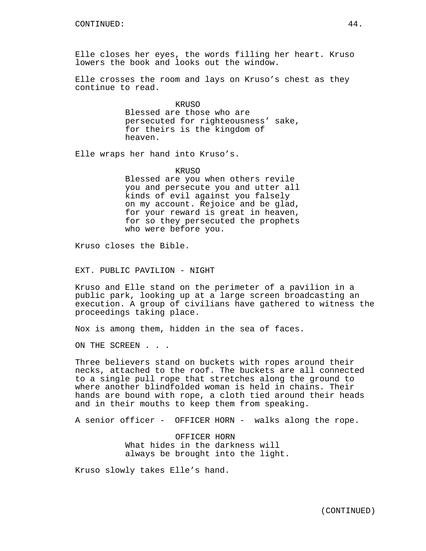Elle closes her eyes, the words filling her heart. Kruso lowers the book and looks out the window.

Elle crosses the room and lays on Kruso's chest as they continue to read.

> KRUSO Blessed are those who are persecuted for righteousness' sake, for theirs is the kingdom of heaven.

Elle wraps her hand into Kruso's.

#### KRUSO

Blessed are you when others revile you and persecute you and utter all kinds of evil against you falsely on my account. Rejoice and be glad, for your reward is great in heaven, for so they persecuted the prophets who were before you.

Kruso closes the Bible.

EXT. PUBLIC PAVILION - NIGHT

Kruso and Elle stand on the perimeter of a pavilion in a public park, looking up at a large screen broadcasting an execution. A group of civilians have gathered to witness the proceedings taking place.

Nox is among them, hidden in the sea of faces.

ON THE SCREEN . . .

Three believers stand on buckets with ropes around their necks, attached to the roof. The buckets are all connected to a single pull rope that stretches along the ground to where another blindfolded woman is held in chains. Their hands are bound with rope, a cloth tied around their heads and in their mouths to keep them from speaking.

A senior officer - OFFICER HORN - walks along the rope.

OFFICER HORN What hides in the darkness will always be brought into the light.

Kruso slowly takes Elle's hand.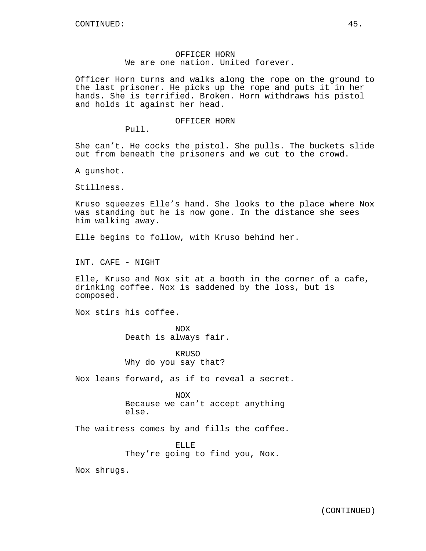### OFFICER HORN We are one nation. United forever.

Officer Horn turns and walks along the rope on the ground to the last prisoner. He picks up the rope and puts it in her hands. She is terrified. Broken. Horn withdraws his pistol and holds it against her head.

#### OFFICER HORN

Pull.

She can't. He cocks the pistol. She pulls. The buckets slide out from beneath the prisoners and we cut to the crowd.

A gunshot.

Stillness.

Kruso squeezes Elle's hand. She looks to the place where Nox was standing but he is now gone. In the distance she sees him walking away.

Elle begins to follow, with Kruso behind her.

INT. CAFE - NIGHT

Elle, Kruso and Nox sit at a booth in the corner of a cafe, drinking coffee. Nox is saddened by the loss, but is composed.

Nox stirs his coffee.

NOX Death is always fair.

KRUSO Why do you say that?

Nox leans forward, as if to reveal a secret.

NOX Because we can't accept anything else.

The waitress comes by and fills the coffee.

ELLE They're going to find you, Nox.

Nox shrugs.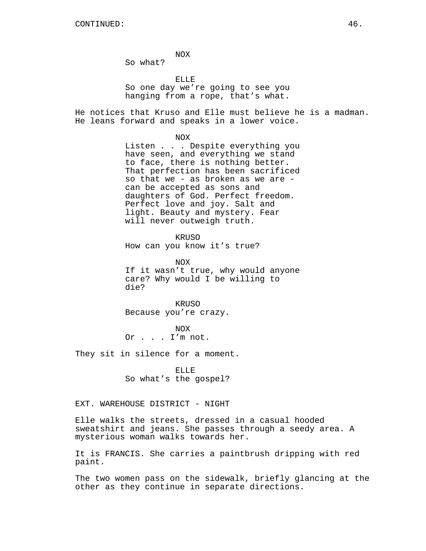NOX

So what?

ELLE So one day we're going to see you hanging from a rope, that's what.

He notices that Kruso and Elle must believe he is a madman. He leans forward and speaks in a lower voice.

NOX

Listen . . . Despite everything you have seen, and everything we stand to face, there is nothing better. That perfection has been sacrificed so that we - as broken as we are can be accepted as sons and daughters of God. Perfect freedom. Perfect love and joy. Salt and light. Beauty and mystery. Fear will never outweigh truth.

**KRUSO** How can you know it's true?

NOX If it wasn't true, why would anyone care? Why would I be willing to die?

KRUSO Because you're crazy.

NOX Or . . . I'm not.

They sit in silence for a moment.

ELLE So what's the gospel?

EXT. WAREHOUSE DISTRICT - NIGHT

Elle walks the streets, dressed in a casual hooded sweatshirt and jeans. She passes through a seedy area. A mysterious woman walks towards her.

It is FRANCIS. She carries a paintbrush dripping with red paint.

The two women pass on the sidewalk, briefly glancing at the other as they continue in separate directions.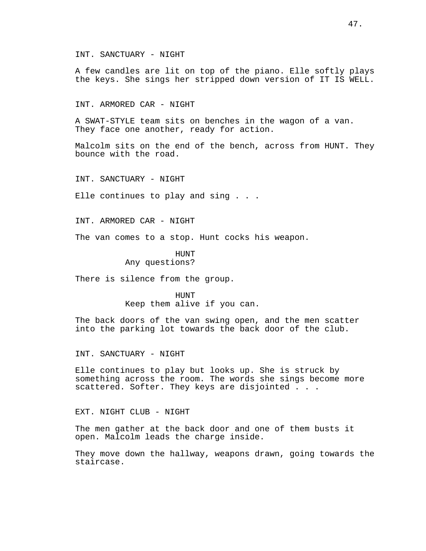INT. SANCTUARY - NIGHT

A few candles are lit on top of the piano. Elle softly plays the keys. She sings her stripped down version of IT IS WELL.

INT. ARMORED CAR - NIGHT

A SWAT-STYLE team sits on benches in the wagon of a van. They face one another, ready for action.

Malcolm sits on the end of the bench, across from HUNT. They bounce with the road.

INT. SANCTUARY - NIGHT

Elle continues to play and sing . . .

INT. ARMORED CAR - NIGHT

The van comes to a stop. Hunt cocks his weapon.

HUNT Any questions?

There is silence from the group.

HUNT Keep them alive if you can.

The back doors of the van swing open, and the men scatter into the parking lot towards the back door of the club.

INT. SANCTUARY - NIGHT

Elle continues to play but looks up. She is struck by something across the room. The words she sings become more scattered. Softer. They keys are disjointed . . .

EXT. NIGHT CLUB - NIGHT

The men gather at the back door and one of them busts it open. Malcolm leads the charge inside.

They move down the hallway, weapons drawn, going towards the staircase.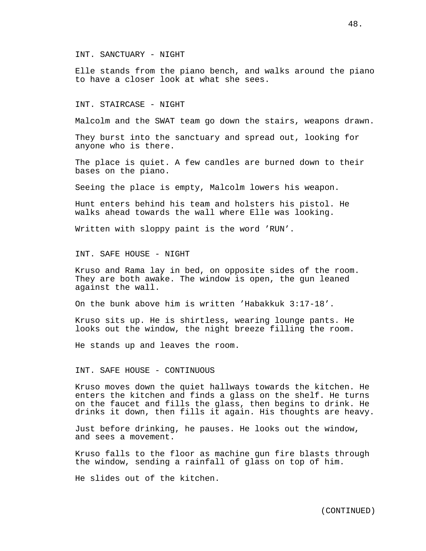INT. SANCTUARY - NIGHT

Elle stands from the piano bench, and walks around the piano to have a closer look at what she sees.

INT. STAIRCASE - NIGHT

Malcolm and the SWAT team go down the stairs, weapons drawn.

They burst into the sanctuary and spread out, looking for anyone who is there.

The place is quiet. A few candles are burned down to their bases on the piano.

Seeing the place is empty, Malcolm lowers his weapon.

Hunt enters behind his team and holsters his pistol. He walks ahead towards the wall where Elle was looking.

Written with sloppy paint is the word 'RUN'.

INT. SAFE HOUSE - NIGHT

Kruso and Rama lay in bed, on opposite sides of the room. They are both awake. The window is open, the gun leaned against the wall.

On the bunk above him is written 'Habakkuk 3:17-18'.

Kruso sits up. He is shirtless, wearing lounge pants. He looks out the window, the night breeze filling the room.

He stands up and leaves the room.

### INT. SAFE HOUSE - CONTINUOUS

Kruso moves down the quiet hallways towards the kitchen. He enters the kitchen and finds a glass on the shelf. He turns on the faucet and fills the glass, then begins to drink. He drinks it down, then fills it again. His thoughts are heavy.

Just before drinking, he pauses. He looks out the window, and sees a movement.

Kruso falls to the floor as machine gun fire blasts through the window, sending a rainfall of glass on top of him.

He slides out of the kitchen.

48.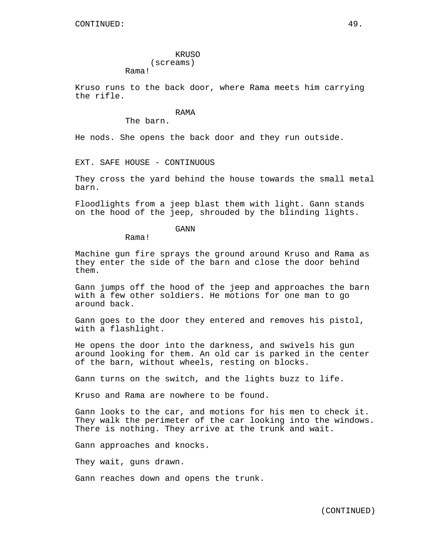# KRUSO (screams)

Kruso runs to the back door, where Rama meets him carrying the rifle.

### RAMA

The barn.

Rama!

He nods. She opens the back door and they run outside.

EXT. SAFE HOUSE - CONTINUOUS

They cross the yard behind the house towards the small metal barn.

Floodlights from a jeep blast them with light. Gann stands on the hood of the jeep, shrouded by the blinding lights.

GANN

Rama!

Machine gun fire sprays the ground around Kruso and Rama as they enter the side of the barn and close the door behind them.

Gann jumps off the hood of the jeep and approaches the barn with a few other soldiers. He motions for one man to go around back.

Gann goes to the door they entered and removes his pistol, with a flashlight.

He opens the door into the darkness, and swivels his gun around looking for them. An old car is parked in the center of the barn, without wheels, resting on blocks.

Gann turns on the switch, and the lights buzz to life.

Kruso and Rama are nowhere to be found.

Gann looks to the car, and motions for his men to check it. They walk the perimeter of the car looking into the windows. There is nothing. They arrive at the trunk and wait.

Gann approaches and knocks.

They wait, guns drawn.

Gann reaches down and opens the trunk.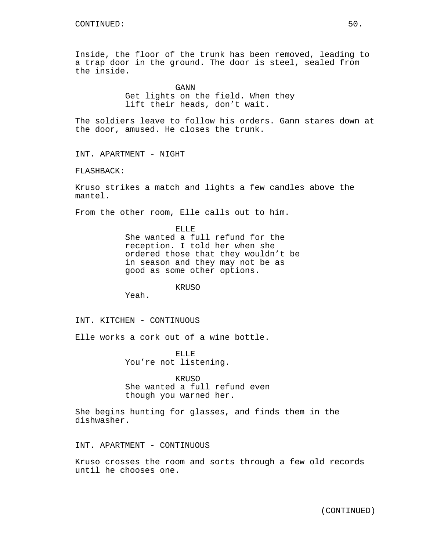Inside, the floor of the trunk has been removed, leading to a trap door in the ground. The door is steel, sealed from the inside.

> GANN Get lights on the field. When they lift their heads, don't wait.

The soldiers leave to follow his orders. Gann stares down at the door, amused. He closes the trunk.

INT. APARTMENT - NIGHT

FLASHBACK:

Kruso strikes a match and lights a few candles above the mantel.

From the other room, Elle calls out to him.

ELLE She wanted a full refund for the reception. I told her when she ordered those that they wouldn't be in season and they may not be as good as some other options.

KRUSO

Yeah.

INT. KITCHEN - CONTINUOUS

Elle works a cork out of a wine bottle.

ELLE You're not listening.

KRIJSO She wanted a full refund even though you warned her.

She begins hunting for glasses, and finds them in the dishwasher.

INT. APARTMENT - CONTINUOUS

Kruso crosses the room and sorts through a few old records until he chooses one.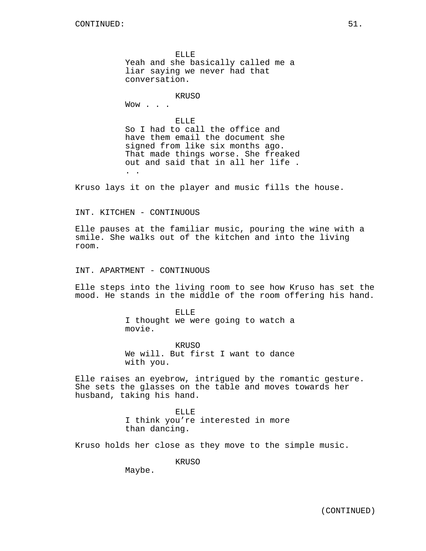ELLE Yeah and she basically called me a liar saying we never had that conversation.

**KRUSO** 

Wow . . .

ELLE So I had to call the office and have them email the document she signed from like six months ago. That made things worse. She freaked out and said that in all her life . . .

Kruso lays it on the player and music fills the house.

INT. KITCHEN - CONTINUOUS

Elle pauses at the familiar music, pouring the wine with a smile. She walks out of the kitchen and into the living room.

INT. APARTMENT - CONTINUOUS

Elle steps into the living room to see how Kruso has set the mood. He stands in the middle of the room offering his hand.

> ELLE I thought we were going to watch a movie.

> KRUSO We will. But first I want to dance with you.

Elle raises an eyebrow, intrigued by the romantic gesture. She sets the glasses on the table and moves towards her husband, taking his hand.

> ELLE I think you're interested in more than dancing.

Kruso holds her close as they move to the simple music.

KRUSO

Maybe.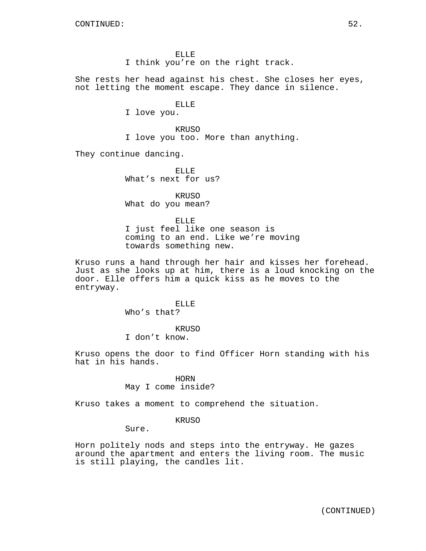ELLE I think you're on the right track.

She rests her head against his chest. She closes her eyes, not letting the moment escape. They dance in silence.

ELLE

I love you.

KRUSO I love you too. More than anything.

They continue dancing.

ELLE What's next for us?

KRUSO What do you mean?

ELLE I just feel like one season is coming to an end. Like we're moving towards something new.

Kruso runs a hand through her hair and kisses her forehead. Just as she looks up at him, there is a loud knocking on the door. Elle offers him a quick kiss as he moves to the entryway.

> ELLE Who's that?

> > KRUSO

I don't know.

Kruso opens the door to find Officer Horn standing with his hat in his hands.

> HORN May I come inside?

Kruso takes a moment to comprehend the situation.

KRUSO

Sure.

Horn politely nods and steps into the entryway. He gazes around the apartment and enters the living room. The music is still playing, the candles lit.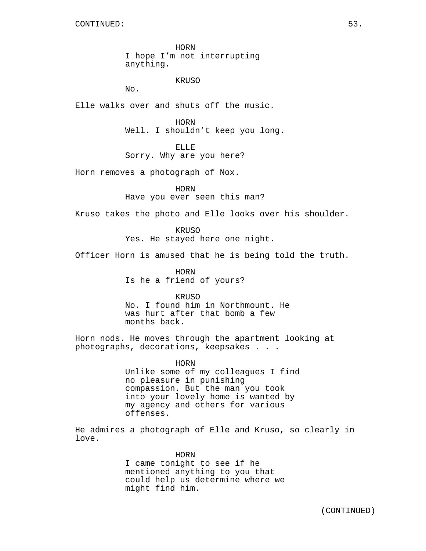HORN I hope I'm not interrupting anything.

KRUSO

No.

Elle walks over and shuts off the music.

HORN Well. I shouldn't keep you long.

ELLE

Sorry. Why are you here?

Horn removes a photograph of Nox.

HORN

Have you ever seen this man?

Kruso takes the photo and Elle looks over his shoulder.

KRUSO Yes. He stayed here one night.

Officer Horn is amused that he is being told the truth.

HORN Is he a friend of yours?

KRUSO

No. I found him in Northmount. He was hurt after that bomb a few months back.

Horn nods. He moves through the apartment looking at photographs, decorations, keepsakes . . .

> HORN Unlike some of my colleagues I find no pleasure in punishing compassion. But the man you took into your lovely home is wanted by my agency and others for various offenses.

He admires a photograph of Elle and Kruso, so clearly in love.

> HORN I came tonight to see if he mentioned anything to you that could help us determine where we might find him.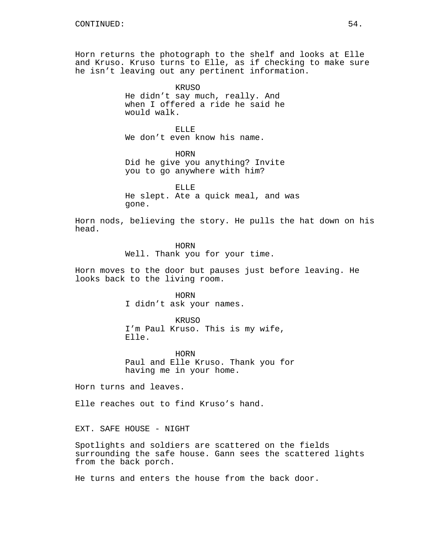Horn returns the photograph to the shelf and looks at Elle and Kruso. Kruso turns to Elle, as if checking to make sure he isn't leaving out any pertinent information.

> KRUSO He didn't say much, really. And when I offered a ride he said he would walk.

ELLE We don't even know his name.

HORN Did he give you anything? Invite you to go anywhere with him?

ELLE He slept. Ate a quick meal, and was gone.

Horn nods, believing the story. He pulls the hat down on his head.

> HORN Well. Thank you for your time.

Horn moves to the door but pauses just before leaving. He looks back to the living room.

HORN

I didn't ask your names.

KRUSO I'm Paul Kruso. This is my wife, Elle.

HORN Paul and Elle Kruso. Thank you for having me in your home.

Horn turns and leaves.

Elle reaches out to find Kruso's hand.

EXT. SAFE HOUSE - NIGHT

Spotlights and soldiers are scattered on the fields surrounding the safe house. Gann sees the scattered lights from the back porch.

He turns and enters the house from the back door.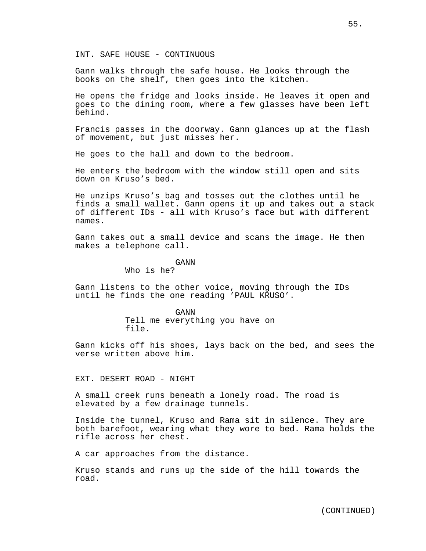INT. SAFE HOUSE - CONTINUOUS

Gann walks through the safe house. He looks through the books on the shelf, then goes into the kitchen.

He opens the fridge and looks inside. He leaves it open and goes to the dining room, where a few glasses have been left behind.

Francis passes in the doorway. Gann glances up at the flash of movement, but just misses her.

He goes to the hall and down to the bedroom.

He enters the bedroom with the window still open and sits down on Kruso's bed.

He unzips Kruso's bag and tosses out the clothes until he finds a small wallet. Gann opens it up and takes out a stack of different IDs - all with Kruso's face but with different names.

Gann takes out a small device and scans the image. He then makes a telephone call.

GANN

Who is he?

Gann listens to the other voice, moving through the IDs until he finds the one reading 'PAUL KRUSO'.

> GANN Tell me everything you have on file.

Gann kicks off his shoes, lays back on the bed, and sees the verse written above him.

EXT. DESERT ROAD - NIGHT

A small creek runs beneath a lonely road. The road is elevated by a few drainage tunnels.

Inside the tunnel, Kruso and Rama sit in silence. They are both barefoot, wearing what they wore to bed. Rama holds the rifle across her chest.

A car approaches from the distance.

Kruso stands and runs up the side of the hill towards the road.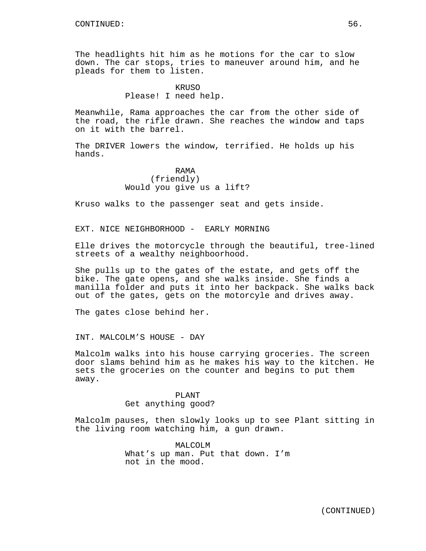The headlights hit him as he motions for the car to slow down. The car stops, tries to maneuver around him, and he pleads for them to listen.

### KRUSO Please! I need help.

Meanwhile, Rama approaches the car from the other side of the road, the rifle drawn. She reaches the window and taps on it with the barrel.

The DRIVER lowers the window, terrified. He holds up his hands.

### RAMA (friendly) Would you give us a lift?

Kruso walks to the passenger seat and gets inside.

EXT. NICE NEIGHBORHOOD - EARLY MORNING

Elle drives the motorcycle through the beautiful, tree-lined streets of a wealthy neighboorhood.

She pulls up to the gates of the estate, and gets off the bike. The gate opens, and she walks inside. She finds a manilla folder and puts it into her backpack. She walks back out of the gates, gets on the motorcyle and drives away.

The gates close behind her.

INT. MALCOLM'S HOUSE - DAY

Malcolm walks into his house carrying groceries. The screen door slams behind him as he makes his way to the kitchen. He sets the groceries on the counter and begins to put them away.

### PLANT

#### Get anything good?

Malcolm pauses, then slowly looks up to see Plant sitting in the living room watching him, a gun drawn.

> MALCOLM What's up man. Put that down. I'm not in the mood.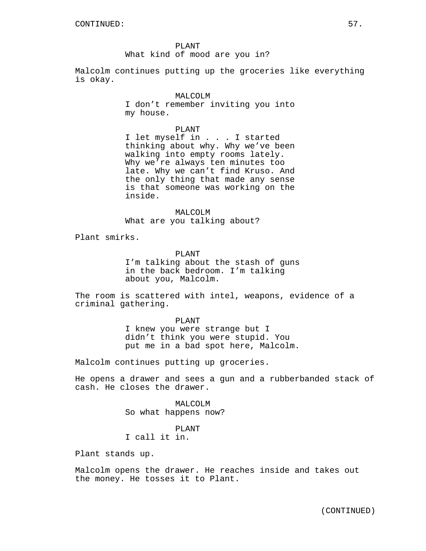PLANT What kind of mood are you in?

Malcolm continues putting up the groceries like everything is okay.

### MALCOLM

I don't remember inviting you into my house.

### PLANT

I let myself in . . . I started thinking about why. Why we've been walking into empty rooms lately. Why we're always ten minutes too late. Why we can't find Kruso. And the only thing that made any sense is that someone was working on the inside.

MALCOLM What are you talking about?

Plant smirks.

PLANT I'm talking about the stash of guns in the back bedroom. I'm talking about you, Malcolm.

The room is scattered with intel, weapons, evidence of a criminal gathering.

### PLANT

I knew you were strange but I didn't think you were stupid. You put me in a bad spot here, Malcolm.

Malcolm continues putting up groceries.

He opens a drawer and sees a gun and a rubberbanded stack of cash. He closes the drawer.

> MALCOLM So what happens now?

PLANT I call it in.

Plant stands up.

Malcolm opens the drawer. He reaches inside and takes out the money. He tosses it to Plant.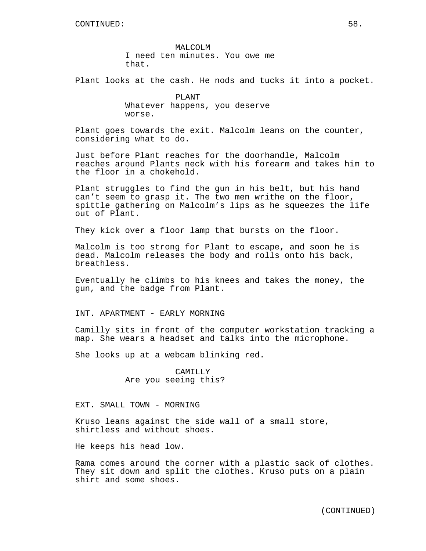MALCOLM I need ten minutes. You owe me that.

Plant looks at the cash. He nods and tucks it into a pocket.

PLANT Whatever happens, you deserve worse.

Plant goes towards the exit. Malcolm leans on the counter, considering what to do.

Just before Plant reaches for the doorhandle, Malcolm reaches around Plants neck with his forearm and takes him to the floor in a chokehold.

Plant struggles to find the gun in his belt, but his hand can't seem to grasp it. The two men writhe on the floor, spittle gathering on Malcolm's lips as he squeezes the life out of Plant.

They kick over a floor lamp that bursts on the floor.

Malcolm is too strong for Plant to escape, and soon he is dead. Malcolm releases the body and rolls onto his back, breathless.

Eventually he climbs to his knees and takes the money, the gun, and the badge from Plant.

INT. APARTMENT - EARLY MORNING

Camilly sits in front of the computer workstation tracking a map. She wears a headset and talks into the microphone.

She looks up at a webcam blinking red.

CAMILLY Are you seeing this?

EXT. SMALL TOWN - MORNING

Kruso leans against the side wall of a small store, shirtless and without shoes.

He keeps his head low.

Rama comes around the corner with a plastic sack of clothes. They sit down and split the clothes. Kruso puts on a plain shirt and some shoes.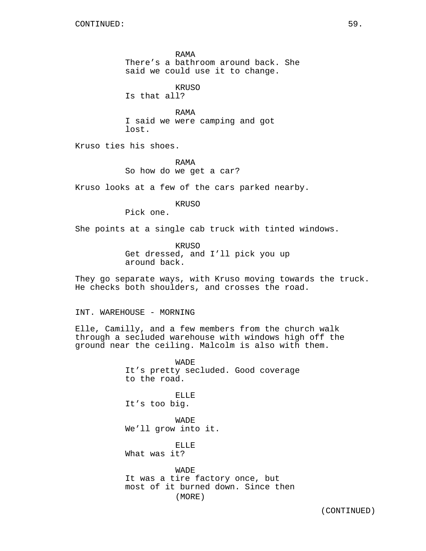RAMA There's a bathroom around back. She said we could use it to change.

KRUSO

Is that all?

RAMA I said we were camping and got lost.

Kruso ties his shoes.

RAMA So how do we get a car?

Kruso looks at a few of the cars parked nearby.

KRUSO

Pick one.

She points at a single cab truck with tinted windows.

KRUSO Get dressed, and I'll pick you up around back.

They go separate ways, with Kruso moving towards the truck. He checks both shoulders, and crosses the road.

INT. WAREHOUSE - MORNING

Elle, Camilly, and a few members from the church walk through a secluded warehouse with windows high off the ground near the ceiling. Malcolm is also with them.

> WADE It's pretty secluded. Good coverage to the road.

ELLE It's too big.

WADE We'll grow into it.

ELLE What was it?

WADE It was a tire factory once, but most of it burned down. Since then (MORE)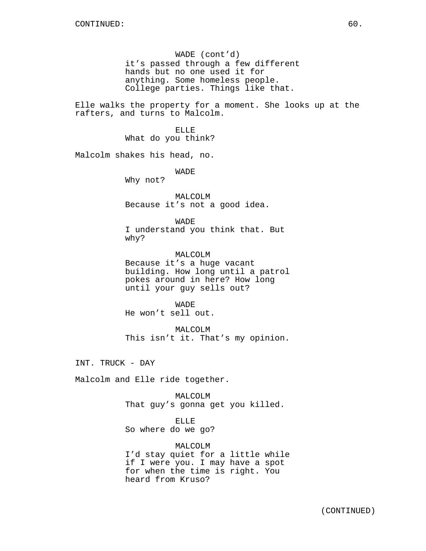WADE (cont'd) it's passed through a few different hands but no one used it for anything. Some homeless people. College parties. Things like that.

Elle walks the property for a moment. She looks up at the rafters, and turns to Malcolm.

> ELLE What do you think?

Malcolm shakes his head, no.

WADE

Why not?

MALCOLM Because it's not a good idea.

WADE I understand you think that. But

why?

MALCOLM Because it's a huge vacant building. How long until a patrol pokes around in here? How long until your guy sells out?

**WADE** He won't sell out.

MALCOLM This isn't it. That's my opinion.

INT. TRUCK - DAY

Malcolm and Elle ride together.

MALCOLM That guy's gonna get you killed.

ELLE So where do we go?

MALCOLM I'd stay quiet for a little while if I were you. I may have a spot for when the time is right. You heard from Kruso?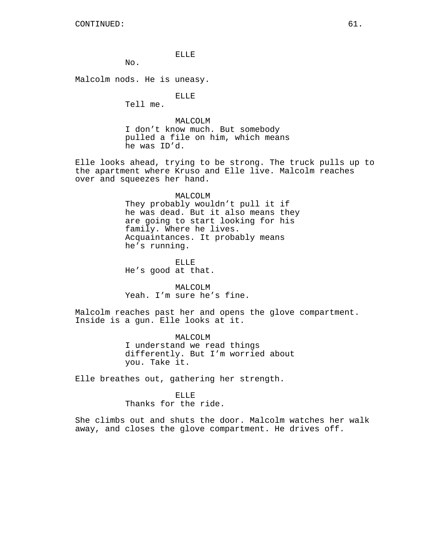### ELLE

No.

Malcolm nods. He is uneasy.

ELLE

Tell me.

MALCOLM I don't know much. But somebody pulled a file on him, which means he was ID'd.

Elle looks ahead, trying to be strong. The truck pulls up to the apartment where Kruso and Elle live. Malcolm reaches over and squeezes her hand.

#### MALCOLM

They probably wouldn't pull it if he was dead. But it also means they are going to start looking for his family. Where he lives. Acquaintances. It probably means he's running.

ELLE He's good at that.

MALCOLM Yeah. I'm sure he's fine.

Malcolm reaches past her and opens the glove compartment. Inside is a gun. Elle looks at it.

> MALCOLM I understand we read things differently. But I'm worried about you. Take it.

Elle breathes out, gathering her strength.

### ELLE

Thanks for the ride.

She climbs out and shuts the door. Malcolm watches her walk away, and closes the glove compartment. He drives off.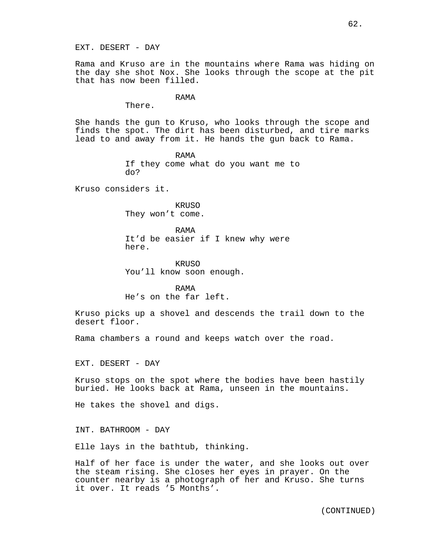EXT. DESERT - DAY

Rama and Kruso are in the mountains where Rama was hiding on the day she shot Nox. She looks through the scope at the pit that has now been filled.

#### RAMA

There.

She hands the gun to Kruso, who looks through the scope and finds the spot. The dirt has been disturbed, and tire marks lead to and away from it. He hands the gun back to Rama.

> RAMA If they come what do you want me to do?

Kruso considers it.

KRUSO They won't come.

RAMA It'd be easier if I knew why were here.

KRUSO You'll know soon enough.

RAMA He's on the far left.

Kruso picks up a shovel and descends the trail down to the desert floor.

Rama chambers a round and keeps watch over the road.

EXT. DESERT - DAY

Kruso stops on the spot where the bodies have been hastily buried. He looks back at Rama, unseen in the mountains.

He takes the shovel and digs.

INT. BATHROOM - DAY

Elle lays in the bathtub, thinking.

Half of her face is under the water, and she looks out over the steam rising. She closes her eyes in prayer. On the counter nearby is a photograph of her and Kruso. She turns it over. It reads '5 Months'.

(CONTINUED)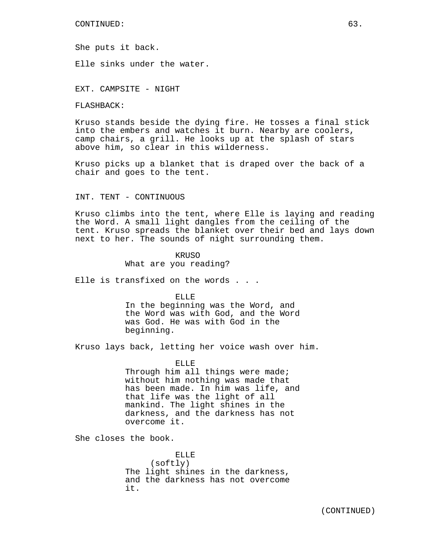She puts it back.

Elle sinks under the water.

EXT. CAMPSITE - NIGHT

FLASHBACK:

Kruso stands beside the dying fire. He tosses a final stick into the embers and watches it burn. Nearby are coolers, camp chairs, a grill. He looks up at the splash of stars above him, so clear in this wilderness.

Kruso picks up a blanket that is draped over the back of a chair and goes to the tent.

### INT. TENT - CONTINUOUS

Kruso climbs into the tent, where Elle is laying and reading the Word. A small light dangles from the ceiling of the tent. Kruso spreads the blanket over their bed and lays down next to her. The sounds of night surrounding them.

> KRUSO What are you reading?

Elle is transfixed on the words . . .

ELLE

In the beginning was the Word, and the Word was with God, and the Word was God. He was with God in the beginning.

Kruso lays back, letting her voice wash over him.

ELLE Through him all things were made; without him nothing was made that has been made. In him was life, and that life was the light of all mankind. The light shines in the darkness, and the darkness has not overcome it.

She closes the book.

ELLE (softly) The light shines in the darkness, and the darkness has not overcome it.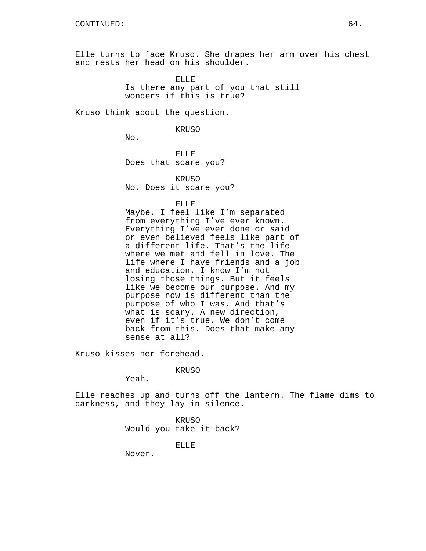Elle turns to face Kruso. She drapes her arm over his chest and rests her head on his shoulder.

> ELLE Is there any part of you that still wonders if this is true?

Kruso think about the question.

KRUSO

No.

ELLE Does that scare you?

KRUSO No. Does it scare you?

ELLE

Maybe. I feel like I'm separated from everything I've ever known. Everything I've ever done or said or even believed feels like part of a different life. That's the life where we met and fell in love. The life where I have friends and a job and education. I know I'm not losing those things. But it feels like we become our purpose. And my purpose now is different than the purpose of who I was. And that's what is scary. A new direction, even if it's true. We don't come back from this. Does that make any sense at all?

Kruso kisses her forehead.

KRUSO

Yeah.

Elle reaches up and turns off the lantern. The flame dims to darkness, and they lay in silence.

> KRUSO Would you take it back?

> > ELLE

Never.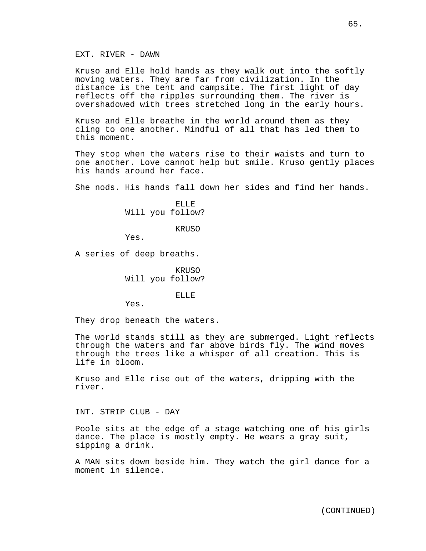Kruso and Elle hold hands as they walk out into the softly moving waters. They are far from civilization. In the distance is the tent and campsite. The first light of day reflects off the ripples surrounding them. The river is overshadowed with trees stretched long in the early hours.

Kruso and Elle breathe in the world around them as they cling to one another. Mindful of all that has led them to this moment.

They stop when the waters rise to their waists and turn to one another. Love cannot help but smile. Kruso gently places his hands around her face.

She nods. His hands fall down her sides and find her hands.

ELLE Will you follow?

KRUSO

Yes.

A series of deep breaths.

KRUSO Will you follow?

ELLE

Yes.

They drop beneath the waters.

The world stands still as they are submerged. Light reflects through the waters and far above birds fly. The wind moves through the trees like a whisper of all creation. This is life in bloom.

Kruso and Elle rise out of the waters, dripping with the river.

INT. STRIP CLUB - DAY

Poole sits at the edge of a stage watching one of his girls dance. The place is mostly empty. He wears a gray suit, sipping a drink.

A MAN sits down beside him. They watch the girl dance for a moment in silence.

(CONTINUED)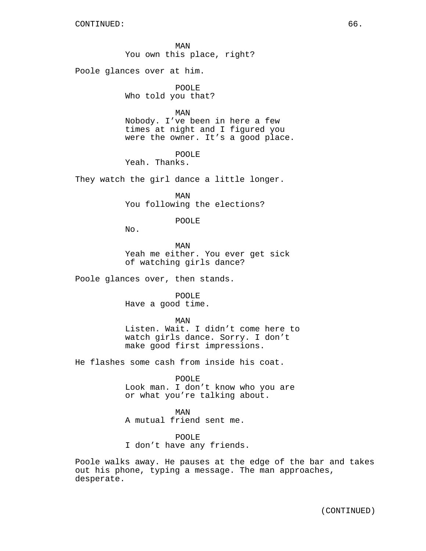MAN You own this place, right?

Poole glances over at him.

POOLE Who told you that?

MAN

Nobody. I've been in here a few times at night and I figured you were the owner. It's a good place.

POOLE

Yeah. Thanks.

They watch the girl dance a little longer.

MAN You following the elections?

### POOLE

No.

MAN Yeah me either. You ever get sick of watching girls dance?

Poole glances over, then stands.

POOLE Have a good time.

MAN

Listen. Wait. I didn't come here to watch girls dance. Sorry. I don't make good first impressions.

He flashes some cash from inside his coat.

POOLE

Look man. I don't know who you are or what you're talking about.

MAN A mutual friend sent me.

POOLE I don't have any friends.

Poole walks away. He pauses at the edge of the bar and takes out his phone, typing a message. The man approaches, desperate.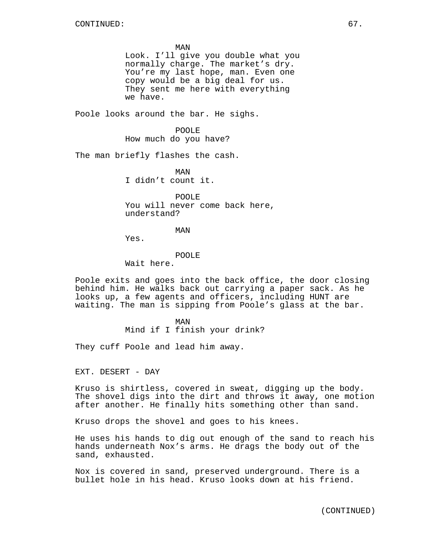MAN Look. I'll give you double what you normally charge. The market's dry. You're my last hope, man. Even one copy would be a big deal for us. They sent me here with everything we have.

Poole looks around the bar. He sighs.

POOLE How much do you have?

The man briefly flashes the cash.

MAN I didn't count it.

POOLE You will never come back here, understand?

MAN

Yes.

POOLE

Wait here.

Poole exits and goes into the back office, the door closing behind him. He walks back out carrying a paper sack. As he looks up, a few agents and officers, including HUNT are waiting. The man is sipping from Poole's glass at the bar.

> MAN Mind if I finish your drink?

They cuff Poole and lead him away.

EXT. DESERT - DAY

Kruso is shirtless, covered in sweat, digging up the body. The shovel digs into the dirt and throws it away, one motion after another. He finally hits something other than sand.

Kruso drops the shovel and goes to his knees.

He uses his hands to dig out enough of the sand to reach his hands underneath Nox's arms. He drags the body out of the sand, exhausted.

Nox is covered in sand, preserved underground. There is a bullet hole in his head. Kruso looks down at his friend.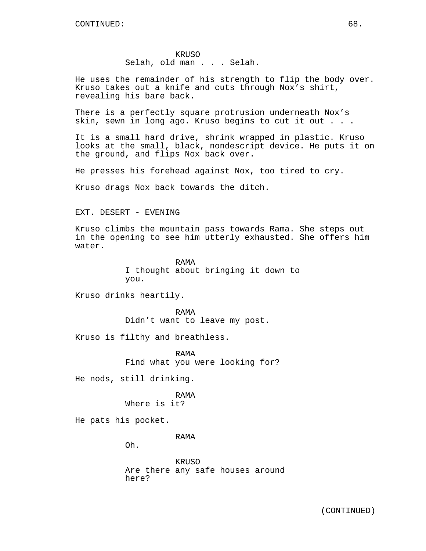Selah, old man . . . Selah.

He uses the remainder of his strength to flip the body over. Kruso takes out a knife and cuts through Nox's shirt, revealing his bare back.

There is a perfectly square protrusion underneath Nox's skin, sewn in long ago. Kruso begins to cut it out . . .

It is a small hard drive, shrink wrapped in plastic. Kruso looks at the small, black, nondescript device. He puts it on the ground, and flips Nox back over.

He presses his forehead against Nox, too tired to cry.

Kruso drags Nox back towards the ditch.

### EXT. DESERT - EVENING

Kruso climbs the mountain pass towards Rama. She steps out in the opening to see him utterly exhausted. She offers him water.

> RAMA I thought about bringing it down to you.

Kruso drinks heartily.

RAMA Didn't want to leave my post.

Kruso is filthy and breathless.

RAMA Find what you were looking for?

He nods, still drinking.

## RAMA

Where is it?

He pats his pocket.

RAMA

Oh.

KRUSO Are there any safe houses around here?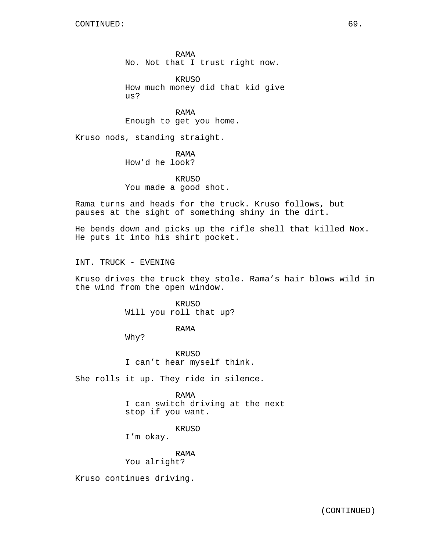RAMA No. Not that I trust right now.

KRUSO How much money did that kid give us?

RAMA Enough to get you home.

Kruso nods, standing straight.

RAMA How'd he look?

KRUSO You made a good shot.

Rama turns and heads for the truck. Kruso follows, but pauses at the sight of something shiny in the dirt.

He bends down and picks up the rifle shell that killed Nox. He puts it into his shirt pocket.

INT. TRUCK - EVENING

Kruso drives the truck they stole. Rama's hair blows wild in the wind from the open window.

> KRUSO Will you roll that up?

> > RAMA

Why?

KRUSO I can't hear myself think.

She rolls it up. They ride in silence.

RAMA I can switch driving at the next stop if you want.

KRUSO

I'm okay.

RAMA You alright?

Kruso continues driving.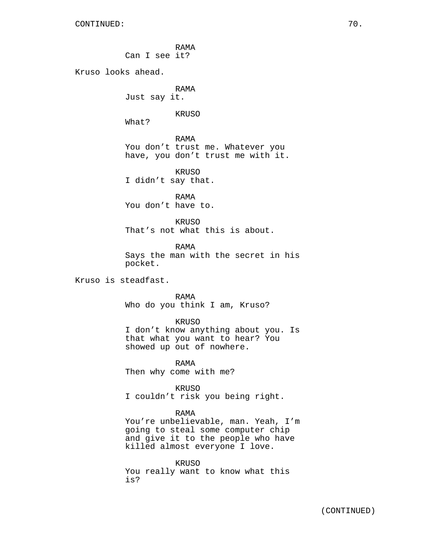RAMA Can I see it? Kruso looks ahead. RAMA Just say it. KRUSO What? RAMA You don't trust me. Whatever you have, you don't trust me with it. KRUSO I didn't say that. RAMA You don't have to. KRUSO That's not what this is about. RAMA Says the man with the secret in his pocket. Kruso is steadfast. RAMA Who do you think I am, Kruso? KRUSO I don't know anything about you. Is that what you want to hear? You showed up out of nowhere. RAMA Then why come with me? KRUSO I couldn't risk you being right. RAMA You're unbelievable, man. Yeah, I'm going to steal some computer chip and give it to the people who have killed almost everyone I love. KRUSO

You really want to know what this is?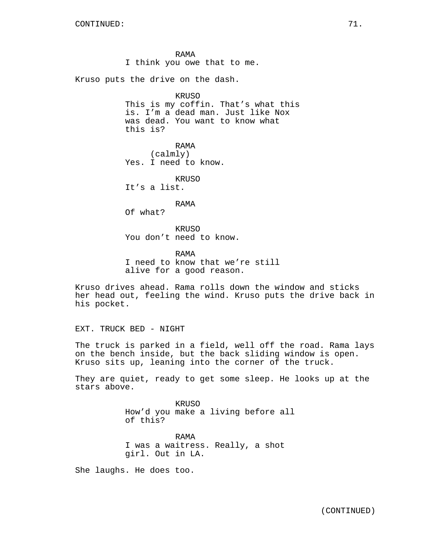RAMA I think you owe that to me.

Kruso puts the drive on the dash.

### KRUSO

This is my coffin. That's what this is. I'm a dead man. Just like Nox was dead. You want to know what this is?

RAMA (calmly) Yes. I need to know.

KRUSO It's a list.

RAMA

Of what?

KRUSO You don't need to know.

RAMA I need to know that we're still alive for a good reason.

Kruso drives ahead. Rama rolls down the window and sticks her head out, feeling the wind. Kruso puts the drive back in his pocket.

EXT. TRUCK BED - NIGHT

The truck is parked in a field, well off the road. Rama lays on the bench inside, but the back sliding window is open. Kruso sits up, leaning into the corner of the truck.

They are quiet, ready to get some sleep. He looks up at the stars above.

> KRUSO How'd you make a living before all of this? RAMA I was a waitress. Really, a shot girl. Out in LA.

She laughs. He does too.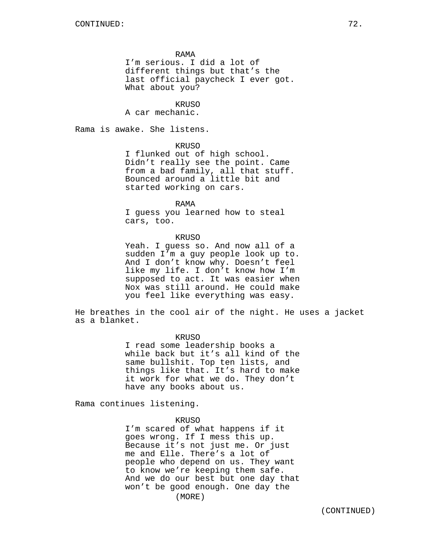RAMA

I'm serious. I did a lot of different things but that's the last official paycheck I ever got. What about you?

KRUSO

A car mechanic.

Rama is awake. She listens.

KRUSO

I flunked out of high school. Didn't really see the point. Came from a bad family, all that stuff. Bounced around a little bit and started working on cars.

RAMA

I guess you learned how to steal cars, too.

# KRUSO

Yeah. I guess so. And now all of a sudden I'm a guy people look up to. And I don't know why. Doesn't feel like my life. I don't know how I'm supposed to act. It was easier when Nox was still around. He could make you feel like everything was easy.

He breathes in the cool air of the night. He uses a jacket as a blanket.

#### KRUSO

I read some leadership books a while back but it's all kind of the same bullshit. Top ten lists, and things like that. It's hard to make it work for what we do. They don't have any books about us.

Rama continues listening.

# KRUSO

I'm scared of what happens if it goes wrong. If I mess this up. Because it's not just me. Or just me and Elle. There's a lot of people who depend on us. They want to know we're keeping them safe. And we do our best but one day that won't be good enough. One day the (MORE)

(CONTINUED)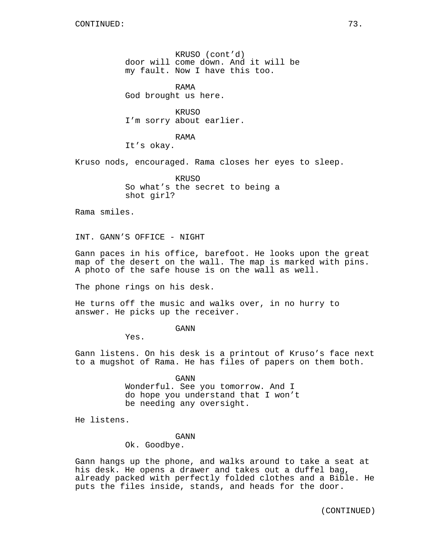KRUSO (cont'd) door will come down. And it will be my fault. Now I have this too.

RAMA God brought us here.

KRUSO I'm sorry about earlier.

RAMA It's okay.

Kruso nods, encouraged. Rama closes her eyes to sleep.

KRUSO So what's the secret to being a shot girl?

Rama smiles.

INT. GANN'S OFFICE - NIGHT

Gann paces in his office, barefoot. He looks upon the great map of the desert on the wall. The map is marked with pins. A photo of the safe house is on the wall as well.

The phone rings on his desk.

He turns off the music and walks over, in no hurry to answer. He picks up the receiver.

GANN

Yes.

Gann listens. On his desk is a printout of Kruso's face next to a mugshot of Rama. He has files of papers on them both.

GANN

Wonderful. See you tomorrow. And I do hope you understand that I won't be needing any oversight.

He listens.

GANN

Ok. Goodbye.

Gann hangs up the phone, and walks around to take a seat at his desk. He opens a drawer and takes out a duffel bag, already packed with perfectly folded clothes and a Bible. He puts the files inside, stands, and heads for the door.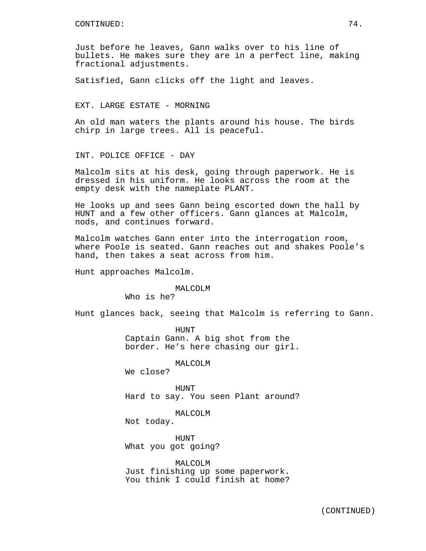Just before he leaves, Gann walks over to his line of bullets. He makes sure they are in a perfect line, making fractional adjustments.

Satisfied, Gann clicks off the light and leaves.

## EXT. LARGE ESTATE - MORNING

An old man waters the plants around his house. The birds chirp in large trees. All is peaceful.

INT. POLICE OFFICE - DAY

Malcolm sits at his desk, going through paperwork. He is dressed in his uniform. He looks across the room at the empty desk with the nameplate PLANT.

He looks up and sees Gann being escorted down the hall by HUNT and a few other officers. Gann glances at Malcolm, nods, and continues forward.

Malcolm watches Gann enter into the interrogation room, where Poole is seated. Gann reaches out and shakes Poole's hand, then takes a seat across from him.

Hunt approaches Malcolm.

#### MALCOLM

Who is he?

Hunt glances back, seeing that Malcolm is referring to Gann.

HUNT Captain Gann. A big shot from the border. He's here chasing our girl.

MALCOLM

We close?

**HUNT** Hard to say. You seen Plant around?

MALCOLM

Not today.

HUNT What you got going?

MALCOLM Just finishing up some paperwork. You think I could finish at home?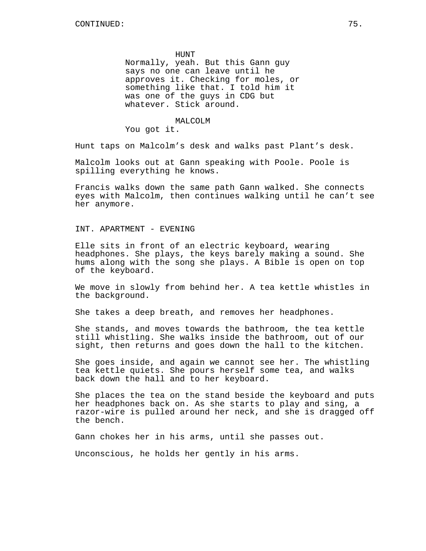HUNT

Normally, yeah. But this Gann guy says no one can leave until he approves it. Checking for moles, or something like that. I told him it was one of the guys in CDG but whatever. Stick around.

#### MALCOLM

You got it.

Hunt taps on Malcolm's desk and walks past Plant's desk.

Malcolm looks out at Gann speaking with Poole. Poole is spilling everything he knows.

Francis walks down the same path Gann walked. She connects eyes with Malcolm, then continues walking until he can't see her anymore.

INT. APARTMENT - EVENING

Elle sits in front of an electric keyboard, wearing headphones. She plays, the keys barely making a sound. She hums along with the song she plays. A Bible is open on top of the keyboard.

We move in slowly from behind her. A tea kettle whistles in the background.

She takes a deep breath, and removes her headphones.

She stands, and moves towards the bathroom, the tea kettle still whistling. She walks inside the bathroom, out of our sight, then returns and goes down the hall to the kitchen.

She goes inside, and again we cannot see her. The whistling tea kettle quiets. She pours herself some tea, and walks back down the hall and to her keyboard.

She places the tea on the stand beside the keyboard and puts her headphones back on. As she starts to play and sing, a razor-wire is pulled around her neck, and she is dragged off the bench.

Gann chokes her in his arms, until she passes out.

Unconscious, he holds her gently in his arms.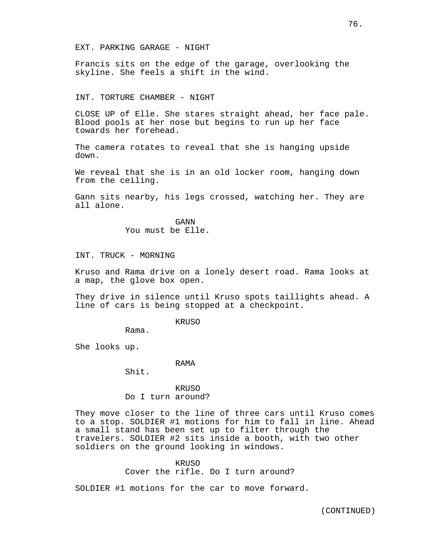#### EXT. PARKING GARAGE - NIGHT

Francis sits on the edge of the garage, overlooking the skyline. She feels a shift in the wind.

### INT. TORTURE CHAMBER - NIGHT

CLOSE UP of Elle. She stares straight ahead, her face pale. Blood pools at her nose but begins to run up her face towards her forehead.

The camera rotates to reveal that she is hanging upside down.

We reveal that she is in an old locker room, hanging down from the ceiling.

Gann sits nearby, his legs crossed, watching her. They are all alone.

> GANN You must be Elle.

INT. TRUCK - MORNING

Kruso and Rama drive on a lonely desert road. Rama looks at a map, the glove box open.

They drive in silence until Kruso spots taillights ahead. A line of cars is being stopped at a checkpoint.

KRUSO

Rama.

She looks up.

# RAMA

Shit.

KRUSO Do I turn around?

They move closer to the line of three cars until Kruso comes to a stop. SOLDIER #1 motions for him to fall in line. Ahead a small stand has been set up to filter through the travelers. SOLDIER #2 sits inside a booth, with two other soldiers on the ground looking in windows.

# KRUSO

Cover the rifle. Do I turn around?

SOLDIER #1 motions for the car to move forward.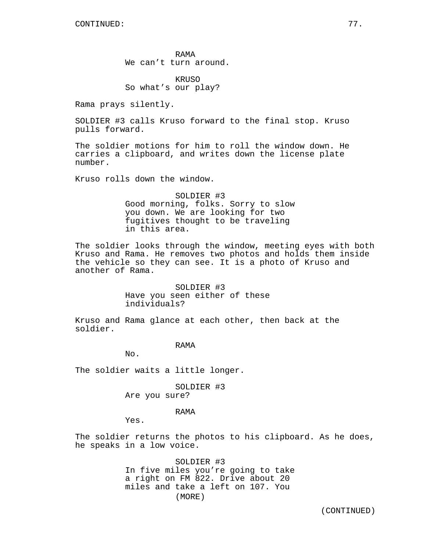RAMA We can't turn around.

**KRUSO** So what's our play?

Rama prays silently.

SOLDIER #3 calls Kruso forward to the final stop. Kruso pulls forward.

The soldier motions for him to roll the window down. He carries a clipboard, and writes down the license plate number.

Kruso rolls down the window.

SOLDIER #3 Good morning, folks. Sorry to slow you down. We are looking for two fugitives thought to be traveling in this area.

The soldier looks through the window, meeting eyes with both Kruso and Rama. He removes two photos and holds them inside the vehicle so they can see. It is a photo of Kruso and another of Rama.

> SOLDIER #3 Have you seen either of these individuals?

Kruso and Rama glance at each other, then back at the soldier.

RAMA

No.

The soldier waits a little longer.

SOLDIER #3 Are you sure?

RAMA

Yes.

The soldier returns the photos to his clipboard. As he does, he speaks in a low voice.

> SOLDIER #3 In five miles you're going to take a right on FM 822. Drive about 20 miles and take a left on 107. You (MORE)

(CONTINUED)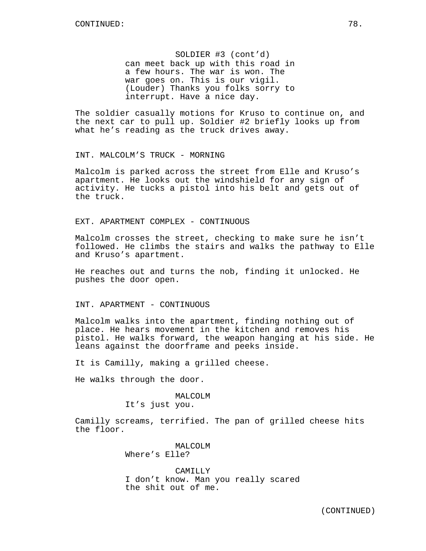SOLDIER #3 (cont'd) can meet back up with this road in a few hours. The war is won. The war goes on. This is our vigil. (Louder) Thanks you folks sorry to interrupt. Have a nice day.

The soldier casually motions for Kruso to continue on, and the next car to pull up. Soldier #2 briefly looks up from what he's reading as the truck drives away.

INT. MALCOLM'S TRUCK - MORNING

Malcolm is parked across the street from Elle and Kruso's apartment. He looks out the windshield for any sign of activity. He tucks a pistol into his belt and gets out of the truck.

EXT. APARTMENT COMPLEX - CONTINUOUS

Malcolm crosses the street, checking to make sure he isn't followed. He climbs the stairs and walks the pathway to Elle and Kruso's apartment.

He reaches out and turns the nob, finding it unlocked. He pushes the door open.

INT. APARTMENT - CONTINUOUS

Malcolm walks into the apartment, finding nothing out of place. He hears movement in the kitchen and removes his pistol. He walks forward, the weapon hanging at his side. He leans against the doorframe and peeks inside.

It is Camilly, making a grilled cheese.

He walks through the door.

# MALCOLM

It's just you.

Camilly screams, terrified. The pan of grilled cheese hits the floor.

> MALCOLM Where's Elle?

CAMILLY I don't know. Man you really scared the shit out of me.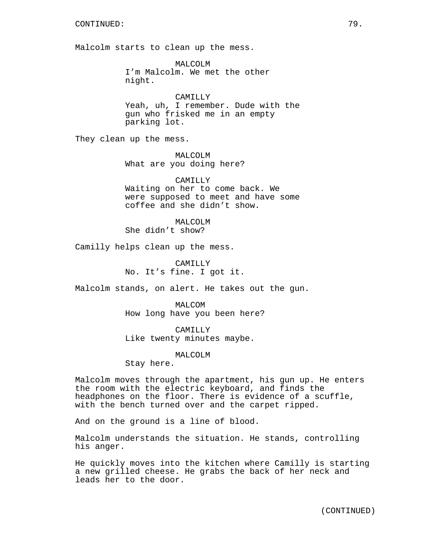Malcolm starts to clean up the mess.

MALCOLM I'm Malcolm. We met the other night.

CAMILLY Yeah, uh, I remember. Dude with the gun who frisked me in an empty parking lot.

They clean up the mess.

MALCOLM What are you doing here?

CAMILLY Waiting on her to come back. We were supposed to meet and have some coffee and she didn't show.

MALCOLM She didn't show?

Camilly helps clean up the mess.

CAMILLY No. It's fine. I got it.

Malcolm stands, on alert. He takes out the gun.

MALCOM How long have you been here?

CAMILLY Like twenty minutes maybe.

MALCOLM

Stay here.

Malcolm moves through the apartment, his gun up. He enters the room with the electric keyboard, and finds the headphones on the floor. There is evidence of a scuffle, with the bench turned over and the carpet ripped.

And on the ground is a line of blood.

Malcolm understands the situation. He stands, controlling his anger.

He quickly moves into the kitchen where Camilly is starting a new grilled cheese. He grabs the back of her neck and leads her to the door.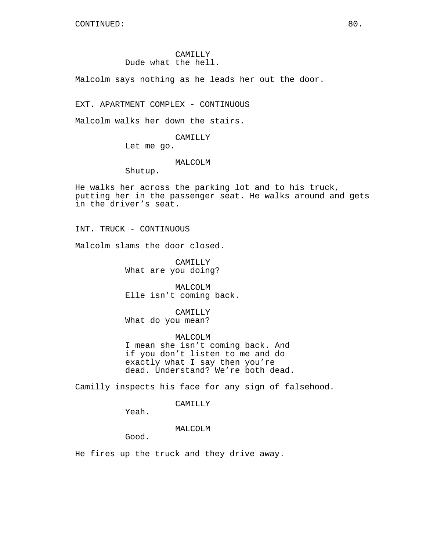# CAMILLY Dude what the hell.

Malcolm says nothing as he leads her out the door.

EXT. APARTMENT COMPLEX - CONTINUOUS

Malcolm walks her down the stairs.

CAMILLY

Let me go.

## MALCOLM

Shutup.

He walks her across the parking lot and to his truck, putting her in the passenger seat. He walks around and gets in the driver's seat.

INT. TRUCK - CONTINUOUS

Malcolm slams the door closed.

CAMILLY What are you doing?

MALCOLM Elle isn't coming back.

CAMILLY What do you mean?

MALCOLM I mean she isn't coming back. And if you don't listen to me and do exactly what I say then you're dead. Understand? We're both dead.

Camilly inspects his face for any sign of falsehood.

# CAMILLY

Yeah.

# MALCOLM

Good.

He fires up the truck and they drive away.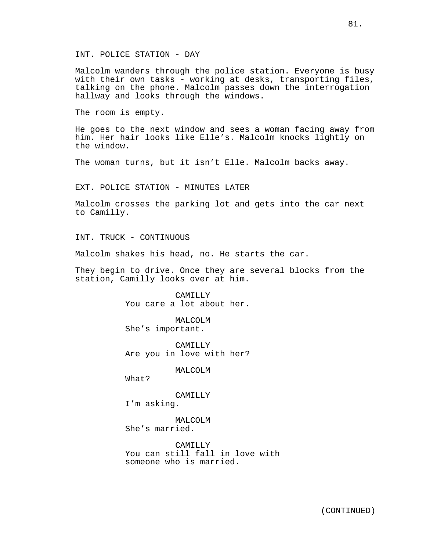Malcolm wanders through the police station. Everyone is busy with their own tasks - working at desks, transporting files, talking on the phone. Malcolm passes down the interrogation hallway and looks through the windows.

The room is empty.

He goes to the next window and sees a woman facing away from him. Her hair looks like Elle's. Malcolm knocks lightly on the window.

The woman turns, but it isn't Elle. Malcolm backs away.

EXT. POLICE STATION - MINUTES LATER

Malcolm crosses the parking lot and gets into the car next to Camilly.

INT. TRUCK - CONTINUOUS

Malcolm shakes his head, no. He starts the car.

They begin to drive. Once they are several blocks from the station, Camilly looks over at him.

> CAMILLY You care a lot about her.

MALCOLM She's important.

CAMILLY Are you in love with her?

MALCOLM

What?

CAMILLY I'm asking.

MALCOLM She's married.

CAMILLY You can still fall in love with someone who is married.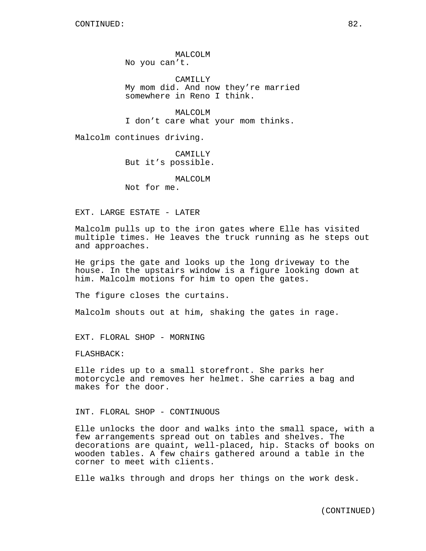MALCOLM No you can't.

CAMILLY My mom did. And now they're married somewhere in Reno I think.

MALCOLM I don't care what your mom thinks.

Malcolm continues driving.

CAMILLY But it's possible.

MALCOLM Not for me.

EXT. LARGE ESTATE - LATER

Malcolm pulls up to the iron gates where Elle has visited multiple times. He leaves the truck running as he steps out and approaches.

He grips the gate and looks up the long driveway to the house. In the upstairs window is a figure looking down at him. Malcolm motions for him to open the gates.

The figure closes the curtains.

Malcolm shouts out at him, shaking the gates in rage.

EXT. FLORAL SHOP - MORNING

FLASHBACK:

Elle rides up to a small storefront. She parks her motorcycle and removes her helmet. She carries a bag and makes for the door.

INT. FLORAL SHOP - CONTINUOUS

Elle unlocks the door and walks into the small space, with a few arrangements spread out on tables and shelves. The decorations are quaint, well-placed, hip. Stacks of books on wooden tables. A few chairs gathered around a table in the corner to meet with clients.

Elle walks through and drops her things on the work desk.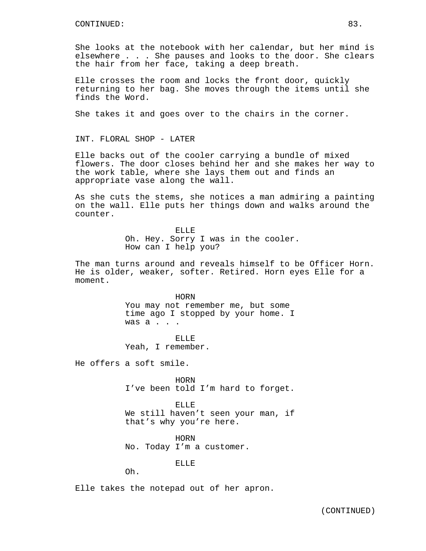She looks at the notebook with her calendar, but her mind is elsewhere . . . She pauses and looks to the door. She clears the hair from her face, taking a deep breath.

Elle crosses the room and locks the front door, quickly returning to her bag. She moves through the items until she finds the Word.

She takes it and goes over to the chairs in the corner.

INT. FLORAL SHOP - LATER

Elle backs out of the cooler carrying a bundle of mixed flowers. The door closes behind her and she makes her way to the work table, where she lays them out and finds an appropriate vase along the wall.

As she cuts the stems, she notices a man admiring a painting on the wall. Elle puts her things down and walks around the counter.

> ELLE Oh. Hey. Sorry I was in the cooler. How can I help you?

The man turns around and reveals himself to be Officer Horn. He is older, weaker, softer. Retired. Horn eyes Elle for a moment.

> HORN You may not remember me, but some time ago I stopped by your home. I was a . . .

ELLE Yeah, I remember.

He offers a soft smile.

HORN I've been told I'm hard to forget.

ELLE We still haven't seen your man, if that's why you're here.

HORN No. Today I'm a customer.

ELLE

Oh.

Elle takes the notepad out of her apron.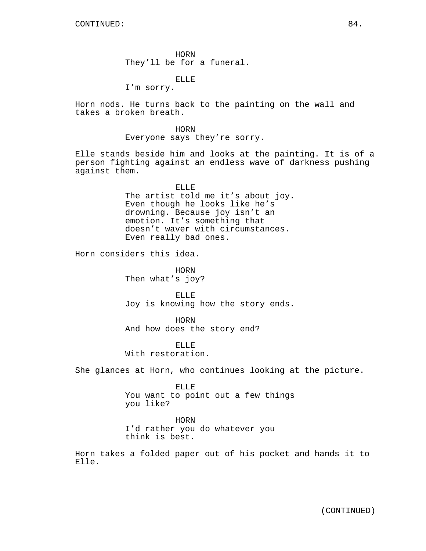HORN They'll be for a funeral.

ELLE

I'm sorry.

Horn nods. He turns back to the painting on the wall and takes a broken breath.

> HORN Everyone says they're sorry.

Elle stands beside him and looks at the painting. It is of a person fighting against an endless wave of darkness pushing against them.

> ELLE The artist told me it's about joy. Even though he looks like he's drowning. Because joy isn't an emotion. It's something that doesn't waver with circumstances. Even really bad ones.

Horn considers this idea.

HORN Then what's joy?

ELLE Joy is knowing how the story ends.

HORN And how does the story end?

ELLE With restoration.

She glances at Horn, who continues looking at the picture.

ELLE

You want to point out a few things you like?

HORN

I'd rather you do whatever you think is best.

Horn takes a folded paper out of his pocket and hands it to Elle.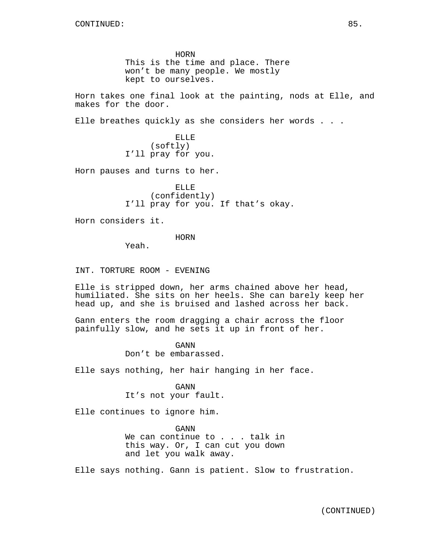HORN This is the time and place. There won't be many people. We mostly kept to ourselves.

Horn takes one final look at the painting, nods at Elle, and makes for the door.

Elle breathes quickly as she considers her words . . .

ELLE (softly) I'll pray for you.

Horn pauses and turns to her.

ELLE (confidently) I'll pray for you. If that's okay.

Horn considers it.

HORN

Yeah.

INT. TORTURE ROOM - EVENING

Elle is stripped down, her arms chained above her head, humiliated. She sits on her heels. She can barely keep her head up, and she is bruised and lashed across her back.

Gann enters the room dragging a chair across the floor painfully slow, and he sets it up in front of her.

> GANN Don't be embarassed.

Elle says nothing, her hair hanging in her face.

GANN It's not your fault.

Elle continues to ignore him.

GANN We can continue to . . . talk in this way. Or, I can cut you down and let you walk away.

Elle says nothing. Gann is patient. Slow to frustration.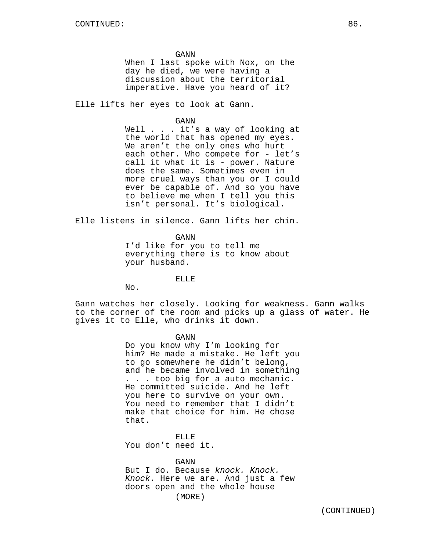GANN

When I last spoke with Nox, on the day he died, we were having a discussion about the territorial imperative. Have you heard of it?

Elle lifts her eyes to look at Gann.

#### GANN

Well . . . it's a way of looking at the world that has opened my eyes. We aren't the only ones who hurt each other. Who compete for - let's call it what it is - power. Nature does the same. Sometimes even in more cruel ways than you or I could ever be capable of. And so you have to believe me when I tell you this isn't personal. It's biological.

Elle listens in silence. Gann lifts her chin.

GANN

I'd like for you to tell me everything there is to know about your husband.

# ELLE

No.

Gann watches her closely. Looking for weakness. Gann walks to the corner of the room and picks up a glass of water. He gives it to Elle, who drinks it down.

GANN

Do you know why I'm looking for him? He made a mistake. He left you to go somewhere he didn't belong, and he became involved in something . . . too big for a auto mechanic. He committed suicide. And he left you here to survive on your own. You need to remember that I didn't make that choice for him. He chose that.

ELLE You don't need it.

GANN

But I do. Because *knock. Knock. Knock.* Here we are. And just a few doors open and the whole house (MORE)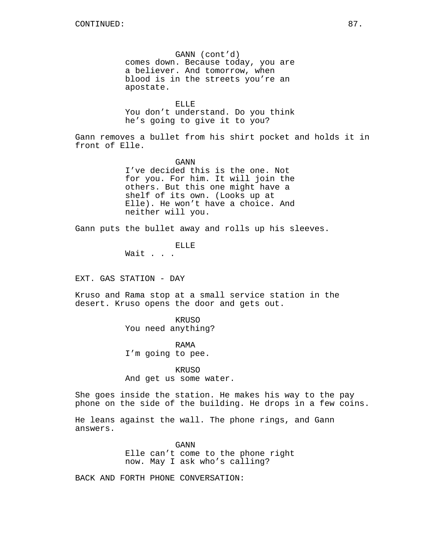GANN (cont'd) comes down. Because today, you are a believer. And tomorrow, when blood is in the streets you're an apostate.

ELLE You don't understand. Do you think he's going to give it to you?

Gann removes a bullet from his shirt pocket and holds it in front of Elle.

> GANN I've decided this is the one. Not for you. For him. It will join the others. But this one might have a shelf of its own. (Looks up at Elle). He won't have a choice. And neither will you.

Gann puts the bullet away and rolls up his sleeves.

ELLE Wait . . .

EXT. GAS STATION - DAY

Kruso and Rama stop at a small service station in the desert. Kruso opens the door and gets out.

> KRUSO You need anything?

RAMA I'm going to pee.

KRUSO And get us some water.

She goes inside the station. He makes his way to the pay phone on the side of the building. He drops in a few coins.

He leans against the wall. The phone rings, and Gann answers.

> GANN Elle can't come to the phone right now. May I ask who's calling?

BACK AND FORTH PHONE CONVERSATION: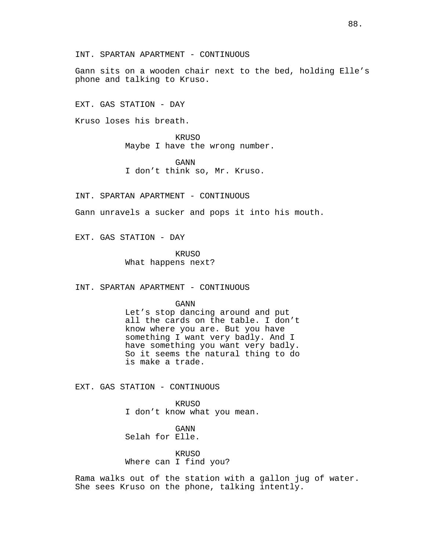Gann sits on a wooden chair next to the bed, holding Elle's phone and talking to Kruso.

EXT. GAS STATION - DAY

Kruso loses his breath.

KRUSO Maybe I have the wrong number.

GANN I don't think so, Mr. Kruso.

INT. SPARTAN APARTMENT - CONTINUOUS

Gann unravels a sucker and pops it into his mouth.

EXT. GAS STATION - DAY

KRUSO What happens next?

INT. SPARTAN APARTMENT - CONTINUOUS

GANN

Let's stop dancing around and put all the cards on the table. I don't know where you are. But you have something I want very badly. And I have something you want very badly. So it seems the natural thing to do is make a trade.

EXT. GAS STATION - CONTINUOUS

KRUSO I don't know what you mean.

GANN Selah for Elle.

KRUSO Where can I find you?

Rama walks out of the station with a gallon jug of water. She sees Kruso on the phone, talking intently.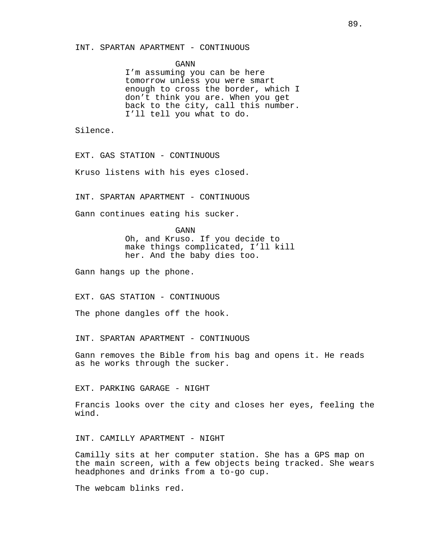#### INT. SPARTAN APARTMENT - CONTINUOUS

GANN

I'm assuming you can be here tomorrow unless you were smart enough to cross the border, which I don't think you are. When you get back to the city, call this number. I'll tell you what to do.

Silence.

EXT. GAS STATION - CONTINUOUS

Kruso listens with his eyes closed.

INT. SPARTAN APARTMENT - CONTINUOUS

Gann continues eating his sucker.

GANN Oh, and Kruso. If you decide to make things complicated, I'll kill her. And the baby dies too.

Gann hangs up the phone.

EXT. GAS STATION - CONTINUOUS

The phone dangles off the hook.

INT. SPARTAN APARTMENT - CONTINUOUS

Gann removes the Bible from his bag and opens it. He reads as he works through the sucker.

EXT. PARKING GARAGE - NIGHT

Francis looks over the city and closes her eyes, feeling the wind.

INT. CAMILLY APARTMENT - NIGHT

Camilly sits at her computer station. She has a GPS map on the main screen, with a few objects being tracked. She wears headphones and drinks from a to-go cup.

The webcam blinks red.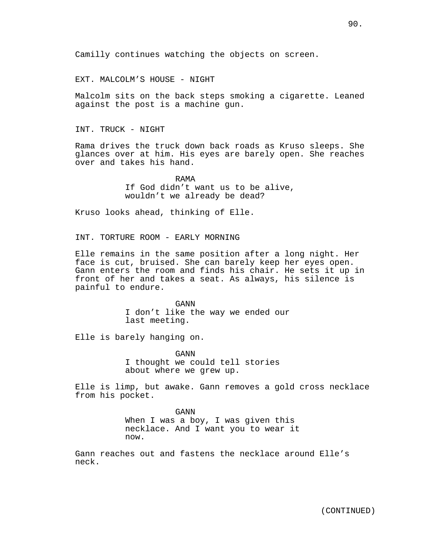Camilly continues watching the objects on screen.

EXT. MALCOLM'S HOUSE - NIGHT

Malcolm sits on the back steps smoking a cigarette. Leaned against the post is a machine gun.

INT. TRUCK - NIGHT

Rama drives the truck down back roads as Kruso sleeps. She glances over at him. His eyes are barely open. She reaches over and takes his hand.

> RAMA If God didn't want us to be alive, wouldn't we already be dead?

Kruso looks ahead, thinking of Elle.

INT. TORTURE ROOM - EARLY MORNING

Elle remains in the same position after a long night. Her face is cut, bruised. She can barely keep her eyes open. Gann enters the room and finds his chair. He sets it up in front of her and takes a seat. As always, his silence is painful to endure.

> GANN I don't like the way we ended our last meeting.

Elle is barely hanging on.

GANN I thought we could tell stories about where we grew up.

Elle is limp, but awake. Gann removes a gold cross necklace from his pocket.

> GANN When I was a boy, I was given this necklace. And I want you to wear it now.

Gann reaches out and fastens the necklace around Elle's neck.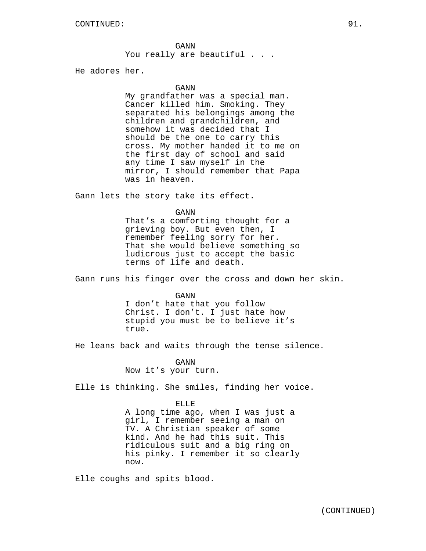He adores her.

#### GANN

My grandfather was a special man. Cancer killed him. Smoking. They separated his belongings among the children and grandchildren, and somehow it was decided that I should be the one to carry this cross. My mother handed it to me on the first day of school and said any time I saw myself in the mirror, I should remember that Papa was in heaven.

Gann lets the story take its effect.

#### GANN

That's a comforting thought for a grieving boy. But even then, I remember feeling sorry for her. That she would believe something so ludicrous just to accept the basic terms of life and death.

Gann runs his finger over the cross and down her skin.

#### GANN

I don't hate that you follow Christ. I don't. I just hate how stupid you must be to believe it's true.

He leans back and waits through the tense silence.

GANN Now it's your turn.

Elle is thinking. She smiles, finding her voice.

### ELLE

A long time ago, when I was just a girl, I remember seeing a man on TV. A Christian speaker of some kind. And he had this suit. This ridiculous suit and a big ring on his pinky. I remember it so clearly now.

Elle coughs and spits blood.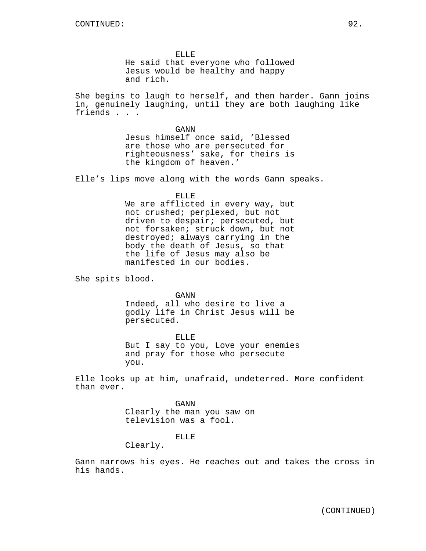ELLE He said that everyone who followed Jesus would be healthy and happy and rich.

She begins to laugh to herself, and then harder. Gann joins in, genuinely laughing, until they are both laughing like friends . . .

> GANN Jesus himself once said, 'Blessed are those who are persecuted for righteousness' sake, for theirs is the kingdom of heaven.'

Elle's lips move along with the words Gann speaks.

ELLE We are afflicted in every way, but not crushed; perplexed, but not driven to despair; persecuted, but not forsaken; struck down, but not destroyed; always carrying in the body the death of Jesus, so that the life of Jesus may also be manifested in our bodies.

She spits blood.

GANN Indeed, all who desire to live a godly life in Christ Jesus will be persecuted.

ELLE But I say to you, Love your enemies and pray for those who persecute you.

Elle looks up at him, unafraid, undeterred. More confident than ever.

> GANN Clearly the man you saw on television was a fool.

# ELLE

Clearly.

Gann narrows his eyes. He reaches out and takes the cross in his hands.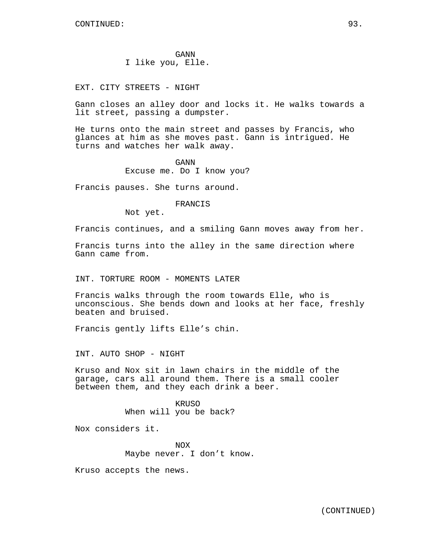GANN I like you, Elle.

EXT. CITY STREETS - NIGHT

Gann closes an alley door and locks it. He walks towards a lit street, passing a dumpster.

He turns onto the main street and passes by Francis, who glances at him as she moves past. Gann is intrigued. He turns and watches her walk away.

> GANN Excuse me. Do I know you?

Francis pauses. She turns around.

FRANCIS

Not yet.

Francis continues, and a smiling Gann moves away from her.

Francis turns into the alley in the same direction where Gann came from.

INT. TORTURE ROOM - MOMENTS LATER

Francis walks through the room towards Elle, who is unconscious. She bends down and looks at her face, freshly beaten and bruised.

Francis gently lifts Elle's chin.

INT. AUTO SHOP - NIGHT

Kruso and Nox sit in lawn chairs in the middle of the garage, cars all around them. There is a small cooler between them, and they each drink a beer.

> KRUSO When will you be back?

Nox considers it.

NOX Maybe never. I don't know.

Kruso accepts the news.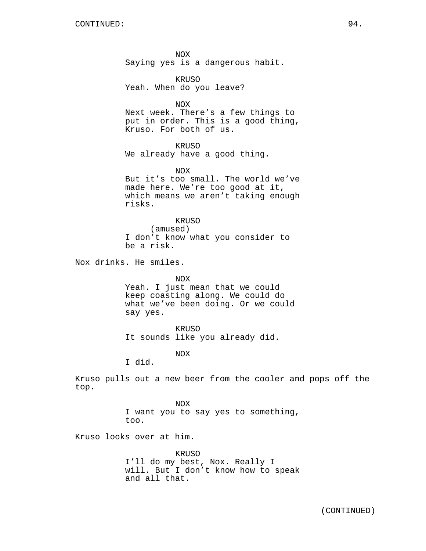NOX Saying yes is a dangerous habit.

KRUSO Yeah. When do you leave?

NOX

Next week. There's a few things to put in order. This is a good thing, Kruso. For both of us.

KRUSO

We already have a good thing.

NOX

But it's too small. The world we've made here. We're too good at it, which means we aren't taking enough risks.

### KRUSO

(amused) I don't know what you consider to be a risk.

Nox drinks. He smiles.

NOX

Yeah. I just mean that we could keep coasting along. We could do what we've been doing. Or we could say yes.

KRUSO It sounds like you already did.

NOX

I did.

Kruso pulls out a new beer from the cooler and pops off the top.

> NOX I want you to say yes to something, too.

Kruso looks over at him.

KRUSO I'll do my best, Nox. Really I will. But I don't know how to speak and all that.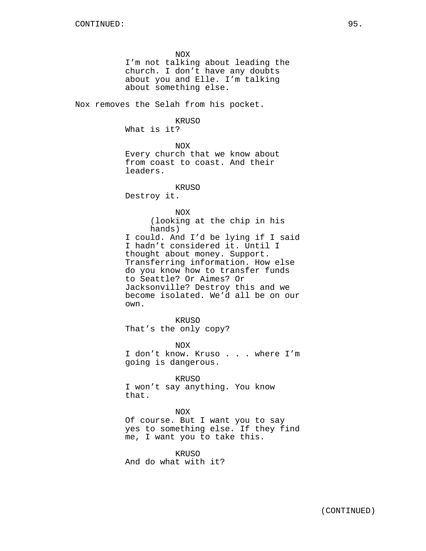NOX I'm not talking about leading the church. I don't have any doubts about you and Elle. I'm talking about something else. Nox removes the Selah from his pocket. KRUSO What is it? NOX Every church that we know about from coast to coast. And their leaders. KRUSO Destroy it. NOX (looking at the chip in his hands) I could. And I'd be lying if I said I hadn't considered it. Until I thought about money. Support. Transferring information. How else do you know how to transfer funds to Seattle? Or Aimes? Or Jacksonville? Destroy this and we become isolated. We'd all be on our own. KRUSO That's the only copy? NOX I don't know. Kruso . . . where I'm going is dangerous. KRUSO I won't say anything. You know that. NOX

Of course. But I want you to say yes to something else. If they find me, I want you to take this.

KRUSO And do what with it?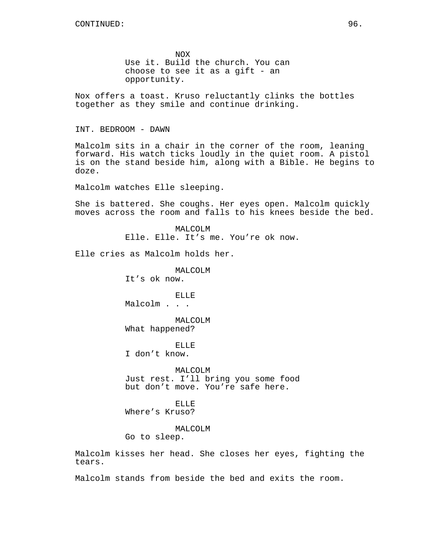NOX Use it. Build the church. You can choose to see it as a gift - an opportunity.

Nox offers a toast. Kruso reluctantly clinks the bottles together as they smile and continue drinking.

INT. BEDROOM - DAWN

Malcolm sits in a chair in the corner of the room, leaning forward. His watch ticks loudly in the quiet room. A pistol is on the stand beside him, along with a Bible. He begins to doze.

Malcolm watches Elle sleeping.

She is battered. She coughs. Her eyes open. Malcolm quickly moves across the room and falls to his knees beside the bed.

> MALCOLM Elle. Elle. It's me. You're ok now.

Elle cries as Malcolm holds her.

MALCOLM It's ok now.

ELLE Malcolm . . .

MALCOLM What happened?

ELLE I don't know.

MALCOLM Just rest. I'll bring you some food but don't move. You're safe here.

ELLE Where's Kruso?

MALCOLM Go to sleep.

Malcolm kisses her head. She closes her eyes, fighting the tears.

Malcolm stands from beside the bed and exits the room.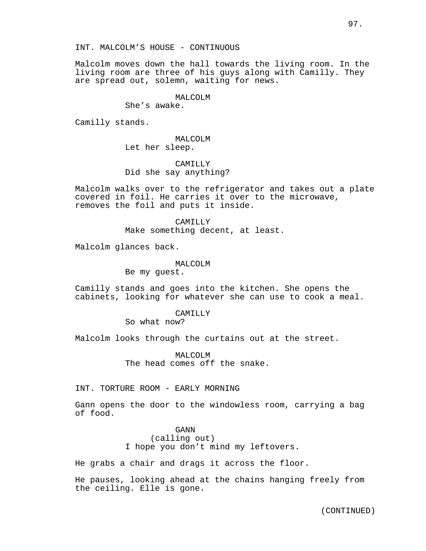Malcolm moves down the hall towards the living room. In the living room are three of his guys along with Camilly. They are spread out, solemn, waiting for news.

# MALCOLM

She's awake.

Camilly stands.

MALCOLM Let her sleep.

CAMILLY Did she say anything?

Malcolm walks over to the refrigerator and takes out a plate covered in foil. He carries it over to the microwave, removes the foil and puts it inside.

> CAMILLY Make something decent, at least.

Malcolm glances back.

MALCOLM

Be my guest.

Camilly stands and goes into the kitchen. She opens the cabinets, looking for whatever she can use to cook a meal.

## CAMILLY

So what now?

Malcolm looks through the curtains out at the street.

MALCOLM The head comes off the snake.

INT. TORTURE ROOM - EARLY MORNING

Gann opens the door to the windowless room, carrying a bag of food.

> GANN (calling out) I hope you don't mind my leftovers.

He grabs a chair and drags it across the floor.

He pauses, looking ahead at the chains hanging freely from the ceiling. Elle is gone.

(CONTINUED)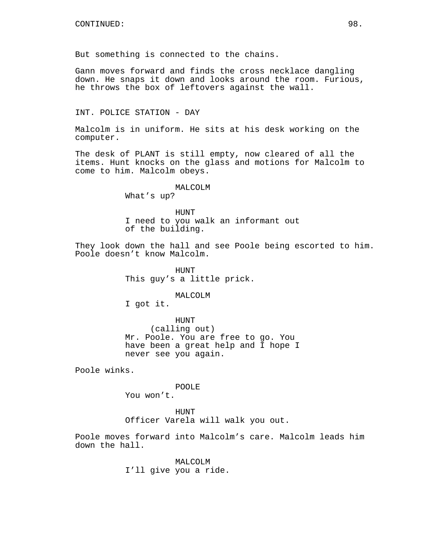But something is connected to the chains.

Gann moves forward and finds the cross necklace dangling down. He snaps it down and looks around the room. Furious, he throws the box of leftovers against the wall.

INT. POLICE STATION - DAY

Malcolm is in uniform. He sits at his desk working on the computer.

The desk of PLANT is still empty, now cleared of all the items. Hunt knocks on the glass and motions for Malcolm to come to him. Malcolm obeys.

# MALCOLM

What's up?

HUNT I need to you walk an informant out of the building.

They look down the hall and see Poole being escorted to him. Poole doesn't know Malcolm.

> HUNT This guy's a little prick.

> > MALCOLM

I got it.

HUNT (calling out) Mr. Poole. You are free to go. You have been a great help and I hope I never see you again.

Poole winks.

POOLE

You won't.

HUNT Officer Varela will walk you out.

Poole moves forward into Malcolm's care. Malcolm leads him down the hall.

> MALCOLM I'll give you a ride.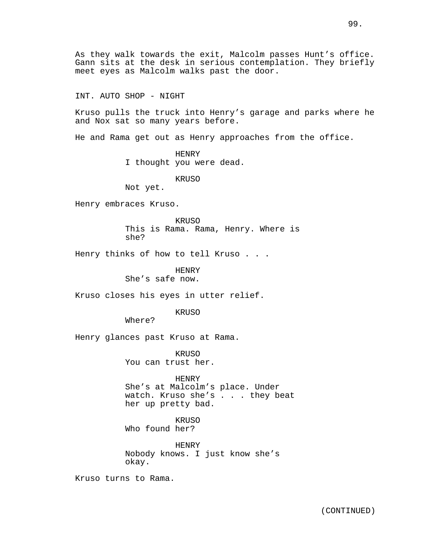As they walk towards the exit, Malcolm passes Hunt's office. Gann sits at the desk in serious contemplation. They briefly meet eyes as Malcolm walks past the door.

INT. AUTO SHOP - NIGHT

Kruso pulls the truck into Henry's garage and parks where he and Nox sat so many years before.

He and Rama get out as Henry approaches from the office.

HENRY I thought you were dead.

KRUSO

Not yet.

Henry embraces Kruso.

KRUSO This is Rama. Rama, Henry. Where is she?

Henry thinks of how to tell Kruso . . .

HENRY

She's safe now.

Kruso closes his eyes in utter relief.

KRUSO

Where?

Henry glances past Kruso at Rama.

KRUSO You can trust her.

HENRY

She's at Malcolm's place. Under watch. Kruso she's . . . they beat her up pretty bad.

KRUSO Who found her?

HENRY Nobody knows. I just know she's okay.

Kruso turns to Rama.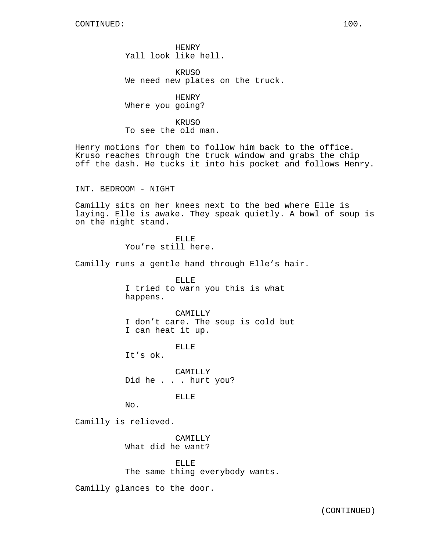HENRY Yall look like hell.

KRUSO We need new plates on the truck.

HENRY Where you going?

KRUSO To see the old man.

Henry motions for them to follow him back to the office. Kruso reaches through the truck window and grabs the chip off the dash. He tucks it into his pocket and follows Henry.

INT. BEDROOM - NIGHT

Camilly sits on her knees next to the bed where Elle is laying. Elle is awake. They speak quietly. A bowl of soup is on the night stand.

> ELLE You're still here.

Camilly runs a gentle hand through Elle's hair.

ELLE I tried to warn you this is what happens.

CAMILLY I don't care. The soup is cold but I can heat it up.

ELLE

It's ok.

CAMILLY Did he . . . hurt you?

ELLE

No.

Camilly is relieved.

CAMILLY What did he want?

ELLE The same thing everybody wants.

Camilly glances to the door.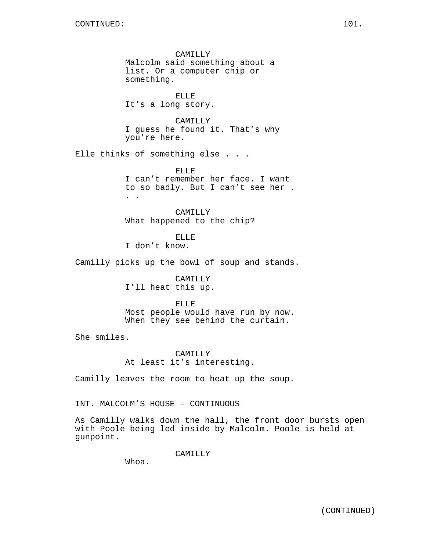CAMILLY Malcolm said something about a list. Or a computer chip or something.

ELLE It's a long story.

CAMILLY I guess he found it. That's why you're here.

Elle thinks of something else . . .

ELLE I can't remember her face. I want to so badly. But I can't see her . . .

CAMILLY What happened to the chip?

ELLE I don't know.

Camilly picks up the bowl of soup and stands.

CAMILLY I'll heat this up.

ELLE Most people would have run by now. When they see behind the curtain.

She smiles.

CAMILLY At least it's interesting.

Camilly leaves the room to heat up the soup.

INT. MALCOLM'S HOUSE - CONTINUOUS

As Camilly walks down the hall, the front door bursts open with Poole being led inside by Malcolm. Poole is held at gunpoint.

CAMILLY

Whoa.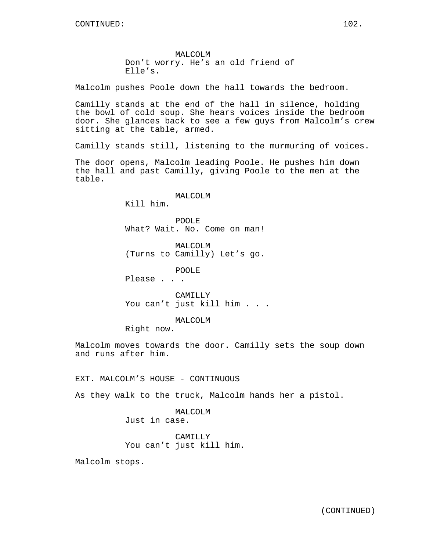Malcolm pushes Poole down the hall towards the bedroom.

Camilly stands at the end of the hall in silence, holding the bowl of cold soup. She hears voices inside the bedroom door. She glances back to see a few guys from Malcolm's crew sitting at the table, armed.

Camilly stands still, listening to the murmuring of voices.

The door opens, Malcolm leading Poole. He pushes him down the hall and past Camilly, giving Poole to the men at the table.

MALCOLM

Kill him.

POOLE What? Wait. No. Come on man!

MALCOLM (Turns to Camilly) Let's go.

POOLE

Please . . .

CAMILLY You can't just kill him . . .

MALCOLM

Right now.

Malcolm moves towards the door. Camilly sets the soup down and runs after him.

EXT. MALCOLM'S HOUSE - CONTINUOUS

As they walk to the truck, Malcolm hands her a pistol.

MALCOLM Just in case.

CAMILLY You can't just kill him.

Malcolm stops.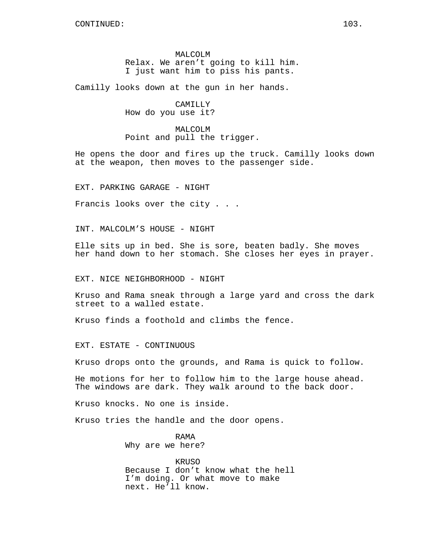MALCOLM Relax. We aren't going to kill him. I just want him to piss his pants.

Camilly looks down at the gun in her hands.

CAMILLY How do you use it?

MALCOLM Point and pull the trigger.

He opens the door and fires up the truck. Camilly looks down at the weapon, then moves to the passenger side.

EXT. PARKING GARAGE - NIGHT

Francis looks over the city . . .

INT. MALCOLM'S HOUSE - NIGHT

Elle sits up in bed. She is sore, beaten badly. She moves her hand down to her stomach. She closes her eyes in prayer.

EXT. NICE NEIGHBORHOOD - NIGHT

Kruso and Rama sneak through a large yard and cross the dark street to a walled estate.

Kruso finds a foothold and climbs the fence.

EXT. ESTATE - CONTINUOUS

Kruso drops onto the grounds, and Rama is quick to follow.

He motions for her to follow him to the large house ahead. The windows are dark. They walk around to the back door.

Kruso knocks. No one is inside.

Kruso tries the handle and the door opens.

RAMA Why are we here?

KRUSO Because I don't know what the hell I'm doing. Or what move to make next. He'll know.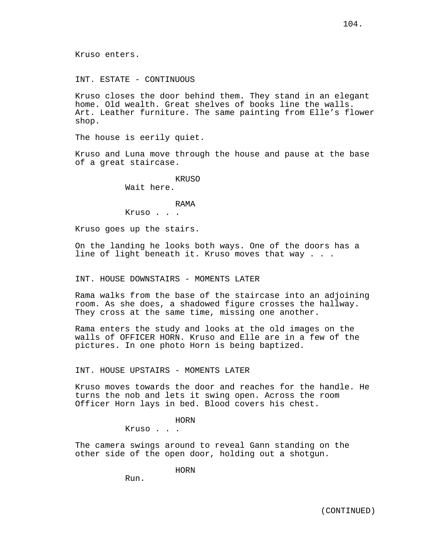Kruso enters.

INT. ESTATE - CONTINUOUS

Kruso closes the door behind them. They stand in an elegant home. Old wealth. Great shelves of books line the walls. Art. Leather furniture. The same painting from Elle's flower shop.

The house is eerily quiet.

Kruso and Luna move through the house and pause at the base of a great staircase.

> KRUSO Wait here.

#### RAMA

Kruso . . .

Kruso goes up the stairs.

On the landing he looks both ways. One of the doors has a line of light beneath it. Kruso moves that way . . .

INT. HOUSE DOWNSTAIRS - MOMENTS LATER

Rama walks from the base of the staircase into an adjoining room. As she does, a shadowed figure crosses the hallway. They cross at the same time, missing one another.

Rama enters the study and looks at the old images on the walls of OFFICER HORN. Kruso and Elle are in a few of the pictures. In one photo Horn is being baptized.

INT. HOUSE UPSTAIRS - MOMENTS LATER

Kruso moves towards the door and reaches for the handle. He turns the nob and lets it swing open. Across the room Officer Horn lays in bed. Blood covers his chest.

# HORN

Kruso . . .

The camera swings around to reveal Gann standing on the other side of the open door, holding out a shotgun.

HORN

Run.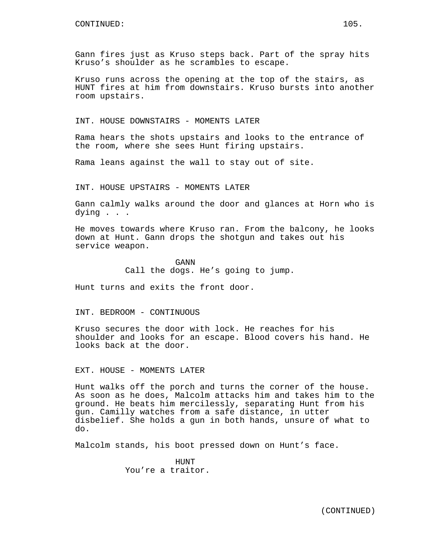Gann fires just as Kruso steps back. Part of the spray hits Kruso's shoulder as he scrambles to escape.

Kruso runs across the opening at the top of the stairs, as HUNT fires at him from downstairs. Kruso bursts into another room upstairs.

INT. HOUSE DOWNSTAIRS - MOMENTS LATER

Rama hears the shots upstairs and looks to the entrance of the room, where she sees Hunt firing upstairs.

Rama leans against the wall to stay out of site.

INT. HOUSE UPSTAIRS - MOMENTS LATER

Gann calmly walks around the door and glances at Horn who is dying . . .

He moves towards where Kruso ran. From the balcony, he looks down at Hunt. Gann drops the shotgun and takes out his service weapon.

> GANN Call the dogs. He's going to jump.

Hunt turns and exits the front door.

INT. BEDROOM - CONTINUOUS

Kruso secures the door with lock. He reaches for his shoulder and looks for an escape. Blood covers his hand. He looks back at the door.

EXT. HOUSE - MOMENTS LATER

Hunt walks off the porch and turns the corner of the house. As soon as he does, Malcolm attacks him and takes him to the ground. He beats him mercilessly, separating Hunt from his gun. Camilly watches from a safe distance, in utter disbelief. She holds a gun in both hands, unsure of what to do.

Malcolm stands, his boot pressed down on Hunt's face.

**HUNT** You're a traitor.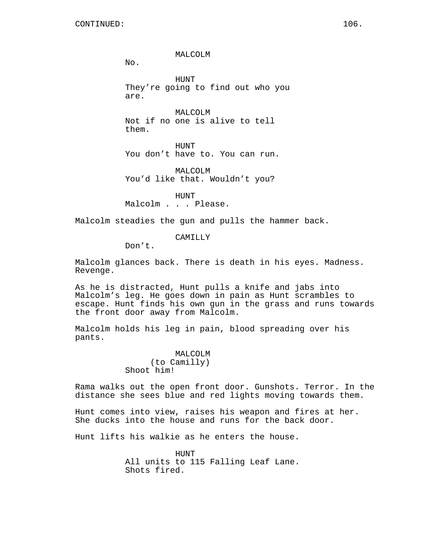MALCOLM

 $No.$ 

HUNT They're going to find out who you are.

MALCOLM Not if no one is alive to tell them.

HUNT You don't have to. You can run.

MALCOLM You'd like that. Wouldn't you?

HUNT Malcolm . . . Please.

Malcolm steadies the gun and pulls the hammer back.

CAMILLY

Don't.

Malcolm glances back. There is death in his eyes. Madness. Revenge.

As he is distracted, Hunt pulls a knife and jabs into Malcolm's leg. He goes down in pain as Hunt scrambles to escape. Hunt finds his own gun in the grass and runs towards the front door away from Malcolm.

Malcolm holds his leg in pain, blood spreading over his pants.

> MALCOLM (to Camilly) Shoot him!

Rama walks out the open front door. Gunshots. Terror. In the distance she sees blue and red lights moving towards them.

Hunt comes into view, raises his weapon and fires at her. She ducks into the house and runs for the back door.

Hunt lifts his walkie as he enters the house.

HUNT All units to 115 Falling Leaf Lane. Shots fired.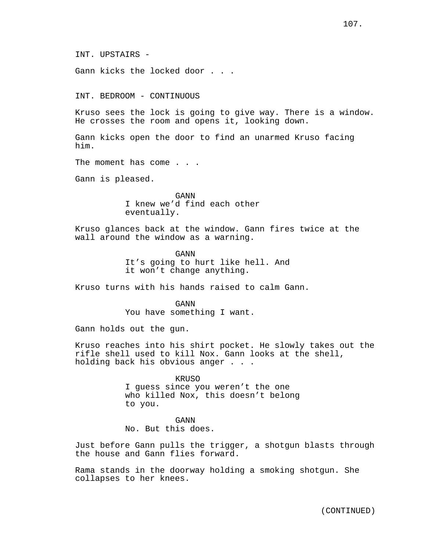INT. UPSTAIRS -

Gann kicks the locked door . . .

INT. BEDROOM - CONTINUOUS

Kruso sees the lock is going to give way. There is a window. He crosses the room and opens it, looking down.

Gann kicks open the door to find an unarmed Kruso facing him.

The moment has come . . .

Gann is pleased.

GANN I knew we'd find each other eventually.

Kruso glances back at the window. Gann fires twice at the wall around the window as a warning.

> GANN It's going to hurt like hell. And it won't change anything.

Kruso turns with his hands raised to calm Gann.

GANN You have something I want.

Gann holds out the gun.

Kruso reaches into his shirt pocket. He slowly takes out the rifle shell used to kill Nox. Gann looks at the shell, holding back his obvious anger . . .

> KRUSO I guess since you weren't the one who killed Nox, this doesn't belong to you.

> > GANN

No. But this does.

Just before Gann pulls the trigger, a shotgun blasts through the house and Gann flies forward.

Rama stands in the doorway holding a smoking shotgun. She collapses to her knees.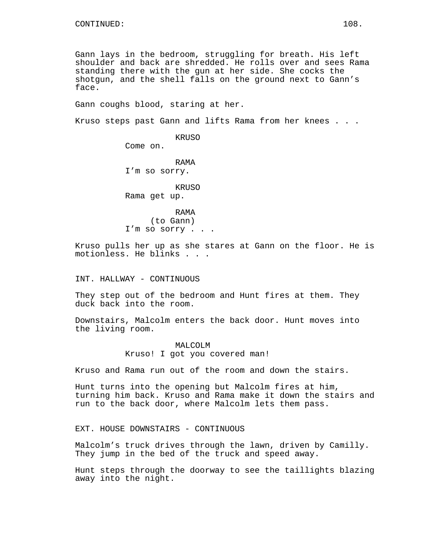Gann lays in the bedroom, struggling for breath. His left shoulder and back are shredded. He rolls over and sees Rama standing there with the gun at her side. She cocks the shotgun, and the shell falls on the ground next to Gann's face.

Gann coughs blood, staring at her.

Kruso steps past Gann and lifts Rama from her knees . . .

KRUSO

Come on. RAMA I'm so sorry. KRUSO Rama get up.

RAMA (to Gann) I'm so sorry . . .

Kruso pulls her up as she stares at Gann on the floor. He is motionless. He blinks . . .

INT. HALLWAY - CONTINUOUS

They step out of the bedroom and Hunt fires at them. They duck back into the room.

Downstairs, Malcolm enters the back door. Hunt moves into the living room.

> MALCOLM Kruso! I got you covered man!

Kruso and Rama run out of the room and down the stairs.

Hunt turns into the opening but Malcolm fires at him, turning him back. Kruso and Rama make it down the stairs and run to the back door, where Malcolm lets them pass.

EXT. HOUSE DOWNSTAIRS - CONTINUOUS

Malcolm's truck drives through the lawn, driven by Camilly. They jump in the bed of the truck and speed away.

Hunt steps through the doorway to see the taillights blazing away into the night.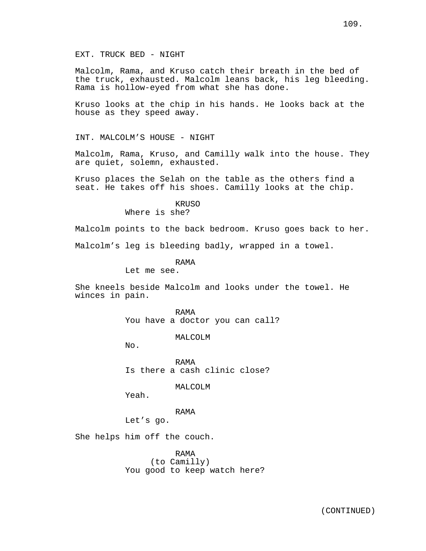Malcolm, Rama, and Kruso catch their breath in the bed of the truck, exhausted. Malcolm leans back, his leg bleeding. Rama is hollow-eyed from what she has done.

Kruso looks at the chip in his hands. He looks back at the house as they speed away.

INT. MALCOLM'S HOUSE - NIGHT

Malcolm, Rama, Kruso, and Camilly walk into the house. They are quiet, solemn, exhausted.

Kruso places the Selah on the table as the others find a seat. He takes off his shoes. Camilly looks at the chip.

> KRUSO Where is she?

Malcolm points to the back bedroom. Kruso goes back to her.

Malcolm's leg is bleeding badly, wrapped in a towel.

RAMA

Let me see.

She kneels beside Malcolm and looks under the towel. He winces in pain.

> RAMA You have a doctor you can call?

> > MALCOLM

No.

RAMA Is there a cash clinic close?

MALCOLM

Yeah.

RAMA

Let's go.

She helps him off the couch.

RAMA (to Camilly) You good to keep watch here?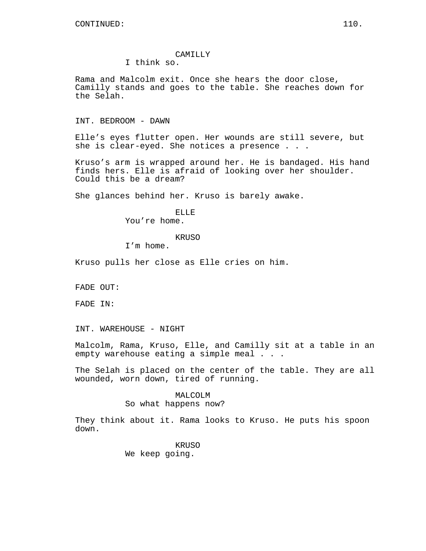# CAMILLY

I think so.

Rama and Malcolm exit. Once she hears the door close, Camilly stands and goes to the table. She reaches down for the Selah.

INT. BEDROOM - DAWN

Elle's eyes flutter open. Her wounds are still severe, but she is clear-eyed. She notices a presence . . .

Kruso's arm is wrapped around her. He is bandaged. His hand finds hers. Elle is afraid of looking over her shoulder. Could this be a dream?

She glances behind her. Kruso is barely awake.

ELLE You're home.

#### KRUSO

I'm home.

Kruso pulls her close as Elle cries on him.

FADE OUT:

FADE IN:

INT. WAREHOUSE - NIGHT

Malcolm, Rama, Kruso, Elle, and Camilly sit at a table in an empty warehouse eating a simple meal . . .

The Selah is placed on the center of the table. They are all wounded, worn down, tired of running.

#### MALCOLM

So what happens now?

They think about it. Rama looks to Kruso. He puts his spoon down.

> KRUSO We keep going.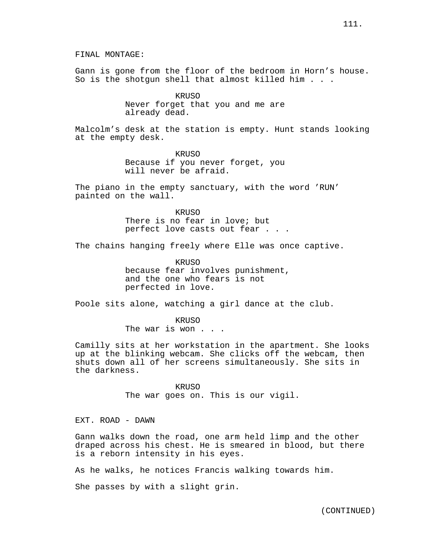FINAL MONTAGE:

Gann is gone from the floor of the bedroom in Horn's house. So is the shotgun shell that almost killed him . . .

> KRUSO Never forget that you and me are already dead.

Malcolm's desk at the station is empty. Hunt stands looking at the empty desk.

> KRUSO Because if you never forget, you will never be afraid.

The piano in the empty sanctuary, with the word 'RUN' painted on the wall.

> KRUSO There is no fear in love; but perfect love casts out fear . . .

The chains hanging freely where Elle was once captive.

KRUSO because fear involves punishment, and the one who fears is not perfected in love.

Poole sits alone, watching a girl dance at the club.

KRUSO The war is won . . .

Camilly sits at her workstation in the apartment. She looks up at the blinking webcam. She clicks off the webcam, then shuts down all of her screens simultaneously. She sits in the darkness.

> KRUSO The war goes on. This is our vigil.

EXT. ROAD - DAWN

Gann walks down the road, one arm held limp and the other draped across his chest. He is smeared in blood, but there is a reborn intensity in his eyes.

As he walks, he notices Francis walking towards him.

She passes by with a slight grin.